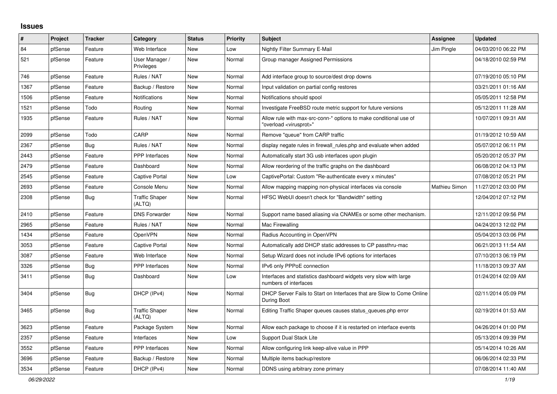## **Issues**

| $\#$ | Project | <b>Tracker</b> | Category                        | <b>Status</b> | <b>Priority</b> | <b>Subject</b>                                                                                          | <b>Assignee</b> | <b>Updated</b>      |
|------|---------|----------------|---------------------------------|---------------|-----------------|---------------------------------------------------------------------------------------------------------|-----------------|---------------------|
| 84   | pfSense | Feature        | Web Interface                   | <b>New</b>    | Low             | Nightly Filter Summary E-Mail                                                                           | Jim Pingle      | 04/03/2010 06:22 PM |
| 521  | pfSense | Feature        | User Manager /<br>Privileges    | <b>New</b>    | Normal          | Group manager Assigned Permissions                                                                      |                 | 04/18/2010 02:59 PM |
| 746  | pfSense | Feature        | Rules / NAT                     | <b>New</b>    | Normal          | Add interface group to source/dest drop downs                                                           |                 | 07/19/2010 05:10 PM |
| 1367 | pfSense | Feature        | Backup / Restore                | New           | Normal          | Input validation on partial config restores                                                             |                 | 03/21/2011 01:16 AM |
| 1506 | pfSense | Feature        | Notifications                   | New           | Normal          | Notifications should spool                                                                              |                 | 05/05/2011 12:58 PM |
| 1521 | pfSense | Todo           | Routina                         | New           | Normal          | Investigate FreeBSD route metric support for future versions                                            |                 | 05/12/2011 11:28 AM |
| 1935 | pfSense | Feature        | Rules / NAT                     | <b>New</b>    | Normal          | Allow rule with max-src-conn-* options to make conditional use of<br>"overload <virusprot>"</virusprot> |                 | 10/07/2011 09:31 AM |
| 2099 | pfSense | Todo           | CARP                            | New           | Normal          | Remove "queue" from CARP traffic                                                                        |                 | 01/19/2012 10:59 AM |
| 2367 | pfSense | <b>Bug</b>     | Rules / NAT                     | <b>New</b>    | Normal          | display negate rules in firewall rules php and evaluate when added                                      |                 | 05/07/2012 06:11 PM |
| 2443 | pfSense | Feature        | <b>PPP</b> Interfaces           | <b>New</b>    | Normal          | Automatically start 3G usb interfaces upon plugin                                                       |                 | 05/20/2012 05:37 PM |
| 2479 | pfSense | Feature        | Dashboard                       | New           | Normal          | Allow reordering of the traffic graphs on the dashboard                                                 |                 | 06/08/2012 04:13 PM |
| 2545 | pfSense | Feature        | Captive Portal                  | New           | Low             | CaptivePortal: Custom "Re-authenticate every x minutes"                                                 |                 | 07/08/2012 05:21 PM |
| 2693 | pfSense | Feature        | Console Menu                    | <b>New</b>    | Normal          | Allow mapping mapping non-physical interfaces via console                                               | Mathieu Simon   | 11/27/2012 03:00 PM |
| 2308 | pfSense | <b>Bug</b>     | <b>Traffic Shaper</b><br>(ALTQ) | New           | Normal          | HFSC WebUI doesn't check for "Bandwidth" setting                                                        |                 | 12/04/2012 07:12 PM |
| 2410 | pfSense | Feature        | <b>DNS Forwarder</b>            | New           | Normal          | Support name based aliasing via CNAMEs or some other mechanism.                                         |                 | 12/11/2012 09:56 PM |
| 2965 | pfSense | Feature        | Rules / NAT                     | New           | Normal          | Mac Firewalling                                                                                         |                 | 04/24/2013 12:02 PM |
| 1434 | pfSense | Feature        | OpenVPN                         | <b>New</b>    | Normal          | Radius Accounting in OpenVPN                                                                            |                 | 05/04/2013 03:06 PM |
| 3053 | pfSense | Feature        | Captive Portal                  | New           | Normal          | Automatically add DHCP static addresses to CP passthru-mac                                              |                 | 06/21/2013 11:54 AM |
| 3087 | pfSense | Feature        | Web Interface                   | <b>New</b>    | Normal          | Setup Wizard does not include IPv6 options for interfaces                                               |                 | 07/10/2013 06:19 PM |
| 3326 | pfSense | Bug            | <b>PPP</b> Interfaces           | New           | Normal          | IPv6 only PPPoE connection                                                                              |                 | 11/18/2013 09:37 AM |
| 3411 | pfSense | Bug            | Dashboard                       | <b>New</b>    | Low             | Interfaces and statistics dashboard widgets very slow with large<br>numbers of interfaces               |                 | 01/24/2014 02:09 AM |
| 3404 | pfSense | Bug            | DHCP (IPv4)                     | New           | Normal          | DHCP Server Fails to Start on Interfaces that are Slow to Come Online<br>During Boot                    |                 | 02/11/2014 05:09 PM |
| 3465 | pfSense | <b>Bug</b>     | <b>Traffic Shaper</b><br>(ALTQ) | New           | Normal          | Editing Traffic Shaper queues causes status_queues.php error                                            |                 | 02/19/2014 01:53 AM |
| 3623 | pfSense | Feature        | Package System                  | <b>New</b>    | Normal          | Allow each package to choose if it is restarted on interface events                                     |                 | 04/26/2014 01:00 PM |
| 2357 | pfSense | Feature        | Interfaces                      | <b>New</b>    | Low             | <b>Support Dual Stack Lite</b>                                                                          |                 | 05/13/2014 09:39 PM |
| 3552 | pfSense | Feature        | <b>PPP</b> Interfaces           | New           | Normal          | Allow configuring link keep-alive value in PPP                                                          |                 | 05/14/2014 10:26 AM |
| 3696 | pfSense | Feature        | Backup / Restore                | New           | Normal          | Multiple items backup/restore                                                                           |                 | 06/06/2014 02:33 PM |
| 3534 | pfSense | Feature        | DHCP (IPv4)                     | <b>New</b>    | Normal          | DDNS using arbitrary zone primary                                                                       |                 | 07/08/2014 11:40 AM |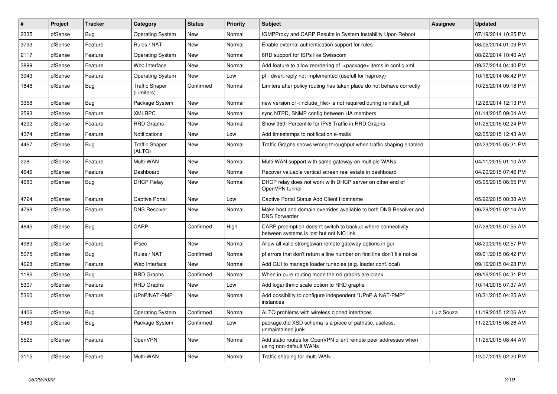| $\vert$ # | Project | Tracker    | Category                            | <b>Status</b> | <b>Priority</b> | <b>Subject</b>                                                                                          | <b>Assignee</b> | <b>Updated</b>      |
|-----------|---------|------------|-------------------------------------|---------------|-----------------|---------------------------------------------------------------------------------------------------------|-----------------|---------------------|
| 2335      | pfSense | Bug        | <b>Operating System</b>             | <b>New</b>    | Normal          | <b>IGMPProxy and CARP Results in System Instability Upon Reboot</b>                                     |                 | 07/19/2014 10:25 PM |
| 3793      | pfSense | Feature    | Rules / NAT                         | <b>New</b>    | Normal          | Enable external authentication support for rules                                                        |                 | 08/05/2014 01:09 PM |
| 2117      | pfSense | Feature    | <b>Operating System</b>             | <b>New</b>    | Normal          | 6RD support for ISPs like Swisscom                                                                      |                 | 08/22/2014 10:40 AM |
| 3899      | pfSense | Feature    | Web Interface                       | <b>New</b>    | Normal          | Add feature to allow reordering of <package> items in config.xml</package>                              |                 | 09/27/2014 04:40 PM |
| 3943      | pfSense | Feature    | <b>Operating System</b>             | <b>New</b>    | Low             | pf - divert-reply not implemented (usefull for haproxy)                                                 |                 | 10/16/2014 06:42 PM |
| 1848      | pfSense | <b>Bug</b> | <b>Traffic Shaper</b><br>(Limiters) | Confirmed     | Normal          | Limiters after policy routing has taken place do not behave correctly                                   |                 | 10/25/2014 09:18 PM |
| 3358      | pfSense | Bug        | Package System                      | New           | Normal          | new version of <include file=""> is not required during reinstall all</include>                         |                 | 12/26/2014 12:13 PM |
| 2593      | pfSense | Feature    | <b>XMLRPC</b>                       | New           | Normal          | sync NTPD, SNMP config between HA members                                                               |                 | 01/14/2015 09:04 AM |
| 4292      | pfSense | Feature    | <b>RRD Graphs</b>                   | <b>New</b>    | Normal          | Show 95th Percentile for IPv6 Traffic in RRD Graphs                                                     |                 | 01/25/2015 02:24 PM |
| 4374      | pfSense | Feature    | <b>Notifications</b>                | <b>New</b>    | Low             | Add timestamps to notification e-mails                                                                  |                 | 02/05/2015 12:43 AM |
| 4467      | pfSense | Bug        | <b>Traffic Shaper</b><br>(ALTQ)     | <b>New</b>    | Normal          | Traffic Graphs shows wrong throughput when traffic shaping enabled                                      |                 | 02/23/2015 05:31 PM |
| 228       | pfSense | Feature    | Multi-WAN                           | <b>New</b>    | Normal          | Multi-WAN support with same gateway on multiple WANs                                                    |                 | 04/11/2015 01:10 AM |
| 4646      | pfSense | Feature    | Dashboard                           | New           | Normal          | Recover valuable vertical screen real estate in dashboard                                               |                 | 04/20/2015 07:46 PM |
| 4680      | pfSense | Bug        | <b>DHCP Relay</b>                   | New           | Normal          | DHCP relay does not work with DHCP server on other end of<br>OpenVPN tunnel                             |                 | 05/05/2015 06:55 PM |
| 4724      | pfSense | Feature    | <b>Captive Portal</b>               | <b>New</b>    | Low             | Captive Portal Status Add Client Hostname                                                               |                 | 05/22/2015 08:38 AM |
| 4798      | pfSense | Feature    | <b>DNS Resolver</b>                 | New           | Normal          | Make host and domain overrides available to both DNS Resolver and<br><b>DNS Forwarder</b>               |                 | 06/29/2015 02:14 AM |
| 4845      | pfSense | <b>Bug</b> | CARP                                | Confirmed     | High            | CARP preemption doesn't switch to backup where connectivity<br>between systems is lost but not NIC link |                 | 07/28/2015 07:55 AM |
| 4989      | pfSense | Feature    | <b>IPsec</b>                        | <b>New</b>    | Normal          | Allow all valid strongswan remote gateway options in gui                                                |                 | 08/20/2015 02:57 PM |
| 5075      | pfSense | <b>Bug</b> | Rules / NAT                         | Confirmed     | Normal          | pf errors that don't return a line number on first line don't file notice                               |                 | 09/01/2015 06:42 PM |
| 4628      | pfSense | Feature    | Web Interface                       | New           | Normal          | Add GUI to manage loader tunables (e.g. loader.conf.local)                                              |                 | 09/16/2015 04:28 PM |
| 1186      | pfSense | <b>Bug</b> | <b>RRD Graphs</b>                   | Confirmed     | Normal          | When in pure routing mode the rrd graphs are blank                                                      |                 | 09/16/2015 04:31 PM |
| 5307      | pfSense | Feature    | <b>RRD Graphs</b>                   | <b>New</b>    | Low             | Add logarithmic scale option to RRD graphs                                                              |                 | 10/14/2015 07:37 AM |
| 5360      | pfSense | Feature    | UPnP/NAT-PMP                        | <b>New</b>    | Normal          | Add possibility to configure independent "UPnP & NAT-PMP"<br>instances                                  |                 | 10/31/2015 04:25 AM |
| 4406      | pfSense | Bug        | <b>Operating System</b>             | Confirmed     | Normal          | ALTQ problems with wireless cloned interfaces                                                           | Luiz Souza      | 11/19/2015 12:06 AM |
| 5469      | pfSense | <b>Bug</b> | Package System                      | Confirmed     | Low             | package.dtd XSD schema is a piece of pathetic, useless,<br>unmaintained junk                            |                 | 11/22/2015 06:26 AM |
| 5525      | pfSense | Feature    | OpenVPN                             | New           | Normal          | Add static routes for OpenVPN client remote peer addresses when<br>using non-default WANs               |                 | 11/25/2015 08:44 AM |
| 3115      | pfSense | Feature    | Multi-WAN                           | <b>New</b>    | Normal          | Traffic shaping for multi WAN                                                                           |                 | 12/07/2015 02:20 PM |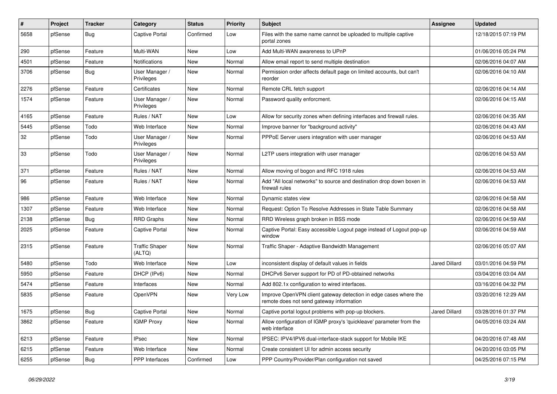| $\sharp$ | Project | <b>Tracker</b> | Category                        | <b>Status</b> | <b>Priority</b> | <b>Subject</b>                                                                                               | <b>Assignee</b> | <b>Updated</b>      |
|----------|---------|----------------|---------------------------------|---------------|-----------------|--------------------------------------------------------------------------------------------------------------|-----------------|---------------------|
| 5658     | pfSense | Bug            | Captive Portal                  | Confirmed     | Low             | Files with the same name cannot be uploaded to multiple captive<br>portal zones                              |                 | 12/18/2015 07:19 PM |
| 290      | pfSense | Feature        | Multi-WAN                       | New           | Low             | Add Multi-WAN awareness to UPnP                                                                              |                 | 01/06/2016 05:24 PM |
| 4501     | pfSense | Feature        | Notifications                   | New           | Normal          | Allow email report to send multiple destination                                                              |                 | 02/06/2016 04:07 AM |
| 3706     | pfSense | Bug            | User Manager /<br>Privileges    | New           | Normal          | Permission order affects default page on limited accounts, but can't<br>reorder                              |                 | 02/06/2016 04:10 AM |
| 2276     | pfSense | Feature        | Certificates                    | <b>New</b>    | Normal          | Remote CRL fetch support                                                                                     |                 | 02/06/2016 04:14 AM |
| 1574     | pfSense | Feature        | User Manager /<br>Privileges    | New           | Normal          | Password quality enforcment.                                                                                 |                 | 02/06/2016 04:15 AM |
| 4165     | pfSense | Feature        | Rules / NAT                     | <b>New</b>    | Low             | Allow for security zones when defining interfaces and firewall rules.                                        |                 | 02/06/2016 04:35 AM |
| 5445     | pfSense | Todo           | Web Interface                   | New           | Normal          | Improve banner for "background activity"                                                                     |                 | 02/06/2016 04:43 AM |
| 32       | pfSense | Todo           | User Manager /<br>Privileges    | New           | Normal          | PPPoE Server users integration with user manager                                                             |                 | 02/06/2016 04:53 AM |
| 33       | pfSense | Todo           | User Manager /<br>Privileges    | <b>New</b>    | Normal          | L2TP users integration with user manager                                                                     |                 | 02/06/2016 04:53 AM |
| 371      | pfSense | Feature        | Rules / NAT                     | <b>New</b>    | Normal          | Allow moving of bogon and RFC 1918 rules                                                                     |                 | 02/06/2016 04:53 AM |
| 96       | pfSense | Feature        | Rules / NAT                     | New           | Normal          | Add "All local networks" to source and destination drop down boxen in<br>firewall rules                      |                 | 02/06/2016 04:53 AM |
| 986      | pfSense | Feature        | Web Interface                   | New           | Normal          | Dynamic states view                                                                                          |                 | 02/06/2016 04:58 AM |
| 1307     | pfSense | Feature        | Web Interface                   | New           | Normal          | Request: Option To Resolve Addresses in State Table Summary                                                  |                 | 02/06/2016 04:58 AM |
| 2138     | pfSense | Bug            | <b>RRD Graphs</b>               | New           | Normal          | RRD Wireless graph broken in BSS mode                                                                        |                 | 02/06/2016 04:59 AM |
| 2025     | pfSense | Feature        | Captive Portal                  | New           | Normal          | Captive Portal: Easy accessible Logout page instead of Logout pop-up<br>window                               |                 | 02/06/2016 04:59 AM |
| 2315     | pfSense | Feature        | <b>Traffic Shaper</b><br>(ALTQ) | New           | Normal          | Traffic Shaper - Adaptive Bandwidth Management                                                               |                 | 02/06/2016 05:07 AM |
| 5480     | pfSense | Todo           | Web Interface                   | New           | Low             | inconsistent display of default values in fields                                                             | Jared Dillard   | 03/01/2016 04:59 PM |
| 5950     | pfSense | Feature        | DHCP (IPv6)                     | New           | Normal          | DHCPv6 Server support for PD of PD-obtained networks                                                         |                 | 03/04/2016 03:04 AM |
| 5474     | pfSense | Feature        | Interfaces                      | New           | Normal          | Add 802.1x configuration to wired interfaces.                                                                |                 | 03/16/2016 04:32 PM |
| 5835     | pfSense | Feature        | <b>OpenVPN</b>                  | New           | Very Low        | Improve OpenVPN client gateway detection in edge cases where the<br>remote does not send gateway information |                 | 03/20/2016 12:29 AM |
| 1675     | pfSense | Bug            | Captive Portal                  | New           | Normal          | Captive portal logout problems with pop-up blockers.                                                         | Jared Dillard   | 03/28/2016 01:37 PM |
| 3862     | pfSense | Feature        | <b>IGMP Proxy</b>               | New           | Normal          | Allow configuration of IGMP proxy's 'quickleave' parameter from the<br>web interface                         |                 | 04/05/2016 03:24 AM |
| 6213     | pfSense | Feature        | <b>IPsec</b>                    | New           | Normal          | IPSEC: IPV4/IPV6 dual-interface-stack support for Mobile IKE                                                 |                 | 04/20/2016 07:48 AM |
| 6215     | pfSense | Feature        | Web Interface                   | New           | Normal          | Create consistent UI for admin access security                                                               |                 | 04/20/2016 03:05 PM |
| 6255     | pfSense | Bug            | PPP Interfaces                  | Confirmed     | Low             | PPP Country/Provider/Plan configuration not saved                                                            |                 | 04/25/2016 07:15 PM |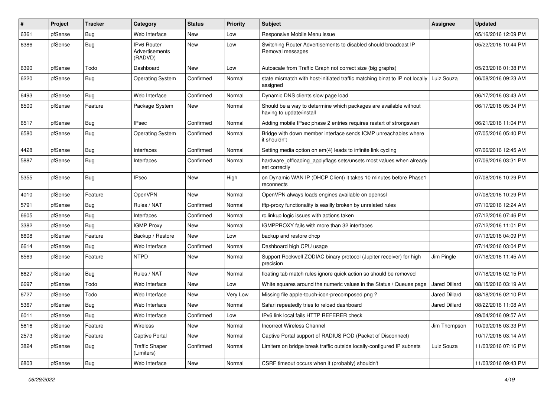| #    | <b>Project</b> | <b>Tracker</b> | Category                                        | <b>Status</b> | <b>Priority</b> | <b>Subject</b>                                                                                | <b>Assignee</b>      | <b>Updated</b>      |
|------|----------------|----------------|-------------------------------------------------|---------------|-----------------|-----------------------------------------------------------------------------------------------|----------------------|---------------------|
| 6361 | pfSense        | <b>Bug</b>     | Web Interface                                   | New           | Low             | Responsive Mobile Menu issue                                                                  |                      | 05/16/2016 12:09 PM |
| 6386 | pfSense        | <b>Bug</b>     | <b>IPv6 Router</b><br>Advertisements<br>(RADVD) | New           | Low             | Switching Router Advertisements to disabled should broadcast IP<br>Removal messages           |                      | 05/22/2016 10:44 PM |
| 6390 | pfSense        | Todo           | Dashboard                                       | New           | Low             | Autoscale from Traffic Graph not correct size (big graphs)                                    |                      | 05/23/2016 01:38 PM |
| 6220 | pfSense        | <b>Bug</b>     | <b>Operating System</b>                         | Confirmed     | Normal          | state mismatch with host-initiated traffic matching binat to IP not locally<br>assigned       | Luiz Souza           | 06/08/2016 09:23 AM |
| 6493 | pfSense        | Bug            | Web Interface                                   | Confirmed     | Normal          | Dynamic DNS clients slow page load                                                            |                      | 06/17/2016 03:43 AM |
| 6500 | pfSense        | Feature        | Package System                                  | New           | Normal          | Should be a way to determine which packages are available without<br>having to update/install |                      | 06/17/2016 05:34 PM |
| 6517 | pfSense        | Bug            | IPsec                                           | Confirmed     | Normal          | Adding mobile IPsec phase 2 entries requires restart of strongswan                            |                      | 06/21/2016 11:04 PM |
| 6580 | pfSense        | <b>Bug</b>     | <b>Operating System</b>                         | Confirmed     | Normal          | Bridge with down member interface sends ICMP unreachables where<br>it shouldn't               |                      | 07/05/2016 05:40 PM |
| 4428 | pfSense        | <b>Bug</b>     | Interfaces                                      | Confirmed     | Normal          | Setting media option on em(4) leads to infinite link cycling                                  |                      | 07/06/2016 12:45 AM |
| 5887 | pfSense        | Bug            | Interfaces                                      | Confirmed     | Normal          | hardware_offloading_applyflags sets/unsets most values when already<br>set correctly          |                      | 07/06/2016 03:31 PM |
| 5355 | pfSense        | <b>Bug</b>     | IPsec                                           | New           | High            | on Dynamic WAN IP (DHCP Client) it takes 10 minutes before Phase1<br>reconnects               |                      | 07/08/2016 10:29 PM |
| 4010 | pfSense        | Feature        | OpenVPN                                         | New           | Normal          | OpenVPN always loads engines available on openssl                                             |                      | 07/08/2016 10:29 PM |
| 5791 | pfSense        | Bug            | Rules / NAT                                     | Confirmed     | Normal          | tftp-proxy functionality is easilly broken by unrelated rules                                 |                      | 07/10/2016 12:24 AM |
| 6605 | pfSense        | Bug            | Interfaces                                      | Confirmed     | Normal          | rc.linkup logic issues with actions taken                                                     |                      | 07/12/2016 07:46 PM |
| 3382 | pfSense        | <b>Bug</b>     | <b>IGMP Proxy</b>                               | New           | Normal          | IGMPPROXY fails with more than 32 interfaces                                                  |                      | 07/12/2016 11:01 PM |
| 6608 | pfSense        | Feature        | Backup / Restore                                | New           | Low             | backup and restore dhcp                                                                       |                      | 07/13/2016 04:09 PM |
| 6614 | pfSense        | Bug            | Web Interface                                   | Confirmed     | Normal          | Dashboard high CPU usage                                                                      |                      | 07/14/2016 03:04 PM |
| 6569 | pfSense        | Feature        | <b>NTPD</b>                                     | New           | Normal          | Support Rockwell ZODIAC binary protocol (Jupiter receiver) for high<br>precision              | Jim Pingle           | 07/18/2016 11:45 AM |
| 6627 | pfSense        | <b>Bug</b>     | Rules / NAT                                     | New           | Normal          | floating tab match rules ignore quick action so should be removed                             |                      | 07/18/2016 02:15 PM |
| 6697 | pfSense        | Todo           | Web Interface                                   | New           | Low             | White squares around the numeric values in the Status / Queues page                           | <b>Jared Dillard</b> | 08/15/2016 03:19 AM |
| 6727 | pfSense        | Todo           | Web Interface                                   | New           | Very Low        | Missing file apple-touch-icon-precomposed.png?                                                | Jared Dillard        | 08/18/2016 02:10 PM |
| 5367 | pfSense        | <b>Bug</b>     | Web Interface                                   | New           | Normal          | Safari repeatedly tries to reload dashboard                                                   | Jared Dillard        | 08/22/2016 11:08 AM |
| 6011 | pfSense        | Bug            | Web Interface                                   | Confirmed     | Low             | IPv6 link local fails HTTP REFERER check                                                      |                      | 09/04/2016 09:57 AM |
| 5616 | pfSense        | Feature        | Wireless                                        | New           | Normal          | <b>Incorrect Wireless Channel</b>                                                             | Jim Thompson         | 10/09/2016 03:33 PM |
| 2573 | pfSense        | Feature        | Captive Portal                                  | New           | Normal          | Captive Portal support of RADIUS POD (Packet of Disconnect)                                   |                      | 10/17/2016 03:14 AM |
| 3824 | pfSense        | <b>Bug</b>     | <b>Traffic Shaper</b><br>(Limiters)             | Confirmed     | Normal          | Limiters on bridge break traffic outside locally-configured IP subnets                        | Luiz Souza           | 11/03/2016 07:16 PM |
| 6803 | pfSense        | <b>Bug</b>     | Web Interface                                   | New           | Normal          | CSRF timeout occurs when it (probably) shouldn't                                              |                      | 11/03/2016 09:43 PM |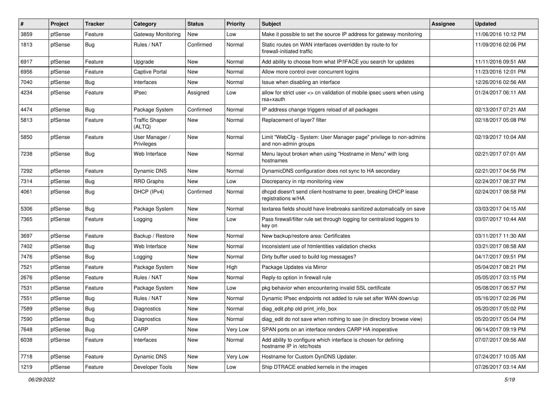| #    | Project | Tracker    | Category                        | <b>Status</b> | <b>Priority</b> | <b>Subject</b>                                                                               | Assignee | <b>Updated</b>      |
|------|---------|------------|---------------------------------|---------------|-----------------|----------------------------------------------------------------------------------------------|----------|---------------------|
| 3859 | pfSense | Feature    | Gateway Monitoring              | New           | Low             | Make it possible to set the source IP address for gateway monitoring                         |          | 11/06/2016 10:12 PM |
| 1813 | pfSense | <b>Bug</b> | Rules / NAT                     | Confirmed     | Normal          | Static routes on WAN interfaces overridden by route-to for<br>firewall-initiated traffic     |          | 11/09/2016 02:06 PM |
| 6917 | pfSense | Feature    | Upgrade                         | <b>New</b>    | Normal          | Add ability to choose from what IP/IFACE you search for updates                              |          | 11/11/2016 09:51 AM |
| 6956 | pfSense | Feature    | <b>Captive Portal</b>           | New           | Normal          | Allow more control over concurrent logins                                                    |          | 11/23/2016 12:01 PM |
| 7040 | pfSense | Bug        | Interfaces                      | New           | Normal          | Issue when disabling an interface                                                            |          | 12/26/2016 02:56 AM |
| 4234 | pfSense | Feature    | <b>IPsec</b>                    | Assigned      | Low             | allow for strict user <> cn validation of mobile ipsec users when using<br>rsa+xauth         |          | 01/24/2017 06:11 AM |
| 4474 | pfSense | Bug        | Package System                  | Confirmed     | Normal          | IP address change triggers reload of all packages                                            |          | 02/13/2017 07:21 AM |
| 5813 | pfSense | Feature    | <b>Traffic Shaper</b><br>(ALTQ) | New           | Normal          | Replacement of layer7 filter                                                                 |          | 02/18/2017 05:08 PM |
| 5850 | pfSense | Feature    | User Manager /<br>Privileges    | New           | Normal          | Limit "WebCfg - System: User Manager page" privilege to non-admins<br>and non-admin groups   |          | 02/19/2017 10:04 AM |
| 7238 | pfSense | Bug        | Web Interface                   | New           | Normal          | Menu layout broken when using "Hostname in Menu" with long<br>hostnames                      |          | 02/21/2017 07:01 AM |
| 7292 | pfSense | Feature    | Dynamic DNS                     | <b>New</b>    | Normal          | DynamicDNS configuration does not sync to HA secondary                                       |          | 02/21/2017 04:56 PM |
| 7314 | pfSense | <b>Bug</b> | <b>RRD Graphs</b>               | New           | Low             | Discrepancy in ntp monitoring view                                                           |          | 02/24/2017 08:37 PM |
| 4061 | pfSense | <b>Bug</b> | DHCP (IPv4)                     | Confirmed     | Normal          | dhcpd doesn't send client-hostname to peer, breaking DHCP lease<br>registrations w/HA        |          | 02/24/2017 08:58 PM |
| 5306 | pfSense | Bug        | Package System                  | New           | Normal          | textarea fields should have linebreaks sanitized automatically on save                       |          | 03/03/2017 04:15 AM |
| 7365 | pfSense | Feature    | Logging                         | New           | Low             | Pass firewall/filter rule set through logging for centralized loggers to<br>key on           |          | 03/07/2017 10:44 AM |
| 3697 | pfSense | Feature    | Backup / Restore                | <b>New</b>    | Normal          | New backup/restore area: Certificates                                                        |          | 03/11/2017 11:30 AM |
| 7402 | pfSense | <b>Bug</b> | Web Interface                   | <b>New</b>    | Normal          | Inconsistent use of htmlentities validation checks                                           |          | 03/21/2017 08:58 AM |
| 7476 | pfSense | <b>Bug</b> | Logging                         | New           | Normal          | Dirty buffer used to build log messages?                                                     |          | 04/17/2017 09:51 PM |
| 7521 | pfSense | Feature    | Package System                  | New           | High            | Package Updates via Mirror                                                                   |          | 05/04/2017 08:21 PM |
| 2676 | pfSense | Feature    | Rules / NAT                     | <b>New</b>    | Normal          | Reply-to option in firewall rule                                                             |          | 05/05/2017 03:15 PM |
| 7531 | pfSense | Feature    | Package System                  | New           | Low             | pkg behavior when encountering invalid SSL certificate                                       |          | 05/08/2017 06:57 PM |
| 7551 | pfSense | <b>Bug</b> | Rules / NAT                     | <b>New</b>    | Normal          | Dynamic IPsec endpoints not added to rule set after WAN down/up                              |          | 05/16/2017 02:26 PM |
| 7589 | pfSense | <b>Bug</b> | <b>Diagnostics</b>              | New           | Normal          | diag_edit.php old print_info_box                                                             |          | 05/20/2017 05:02 PM |
| 7590 | pfSense | <b>Bug</b> | Diagnostics                     | New           | Normal          | diag_edit do not save when nothing to sae (in directory browse view)                         |          | 05/20/2017 05:04 PM |
| 7648 | pfSense | <b>Bug</b> | CARP                            | New           | Very Low        | SPAN ports on an interface renders CARP HA inoperative                                       |          | 06/14/2017 09:19 PM |
| 6038 | pfSense | Feature    | Interfaces                      | New           | Normal          | Add ability to configure which interface is chosen for defining<br>hostname IP in /etc/hosts |          | 07/07/2017 09:56 AM |
| 7718 | pfSense | Feature    | Dynamic DNS                     | New           | Very Low        | Hostname for Custom DynDNS Updater.                                                          |          | 07/24/2017 10:05 AM |
| 1219 | pfSense | Feature    | Developer Tools                 | New           | Low             | Ship DTRACE enabled kernels in the images                                                    |          | 07/26/2017 03:14 AM |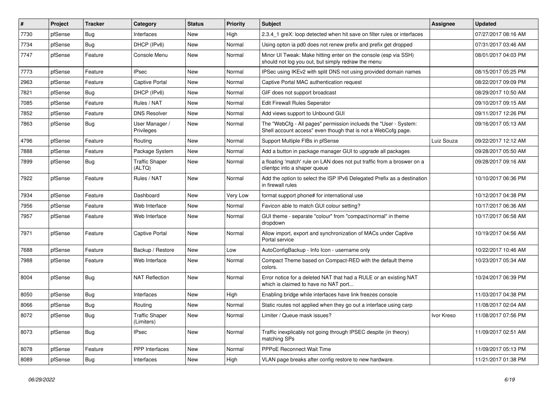| #    | Project | Tracker    | Category                            | <b>Status</b> | <b>Priority</b> | Subject                                                                                                                           | Assignee   | <b>Updated</b>      |
|------|---------|------------|-------------------------------------|---------------|-----------------|-----------------------------------------------------------------------------------------------------------------------------------|------------|---------------------|
| 7730 | pfSense | <b>Bug</b> | Interfaces                          | New           | High            | 2.3.4 1 greX: loop detected when hit save on filter rules or interfaces                                                           |            | 07/27/2017 08:16 AM |
| 7734 | pfSense | Bug        | DHCP (IPv6)                         | New           | Normal          | Using opton ia pd0 does not renew prefix and prefix get dropped                                                                   |            | 07/31/2017 03:46 AM |
| 7747 | pfSense | Feature    | Console Menu                        | New           | Normal          | Minor UI Tweak: Make hitting enter on the console (esp via SSH)<br>should not log you out, but simply redraw the menu             |            | 08/01/2017 04:03 PM |
| 7773 | pfSense | Feature    | <b>IPsec</b>                        | <b>New</b>    | Normal          | IPSec using IKEv2 with split DNS not using provided domain names                                                                  |            | 08/15/2017 05:25 PM |
| 2963 | pfSense | Feature    | Captive Portal                      | New           | Normal          | Captive Portal MAC authentication request                                                                                         |            | 08/22/2017 09:09 PM |
| 7821 | pfSense | <b>Bug</b> | DHCP (IPv6)                         | New           | Normal          | GIF does not support broadcast                                                                                                    |            | 08/29/2017 10:50 AM |
| 7085 | pfSense | Feature    | Rules / NAT                         | New           | Normal          | Edit Firewall Rules Seperator                                                                                                     |            | 09/10/2017 09:15 AM |
| 7852 | pfSense | Feature    | <b>DNS Resolver</b>                 | New           | Normal          | Add views support to Unbound GUI                                                                                                  |            | 09/11/2017 12:26 PM |
| 7863 | pfSense | <b>Bug</b> | User Manager /<br>Privileges        | New           | Normal          | The "WebCfg - All pages" permission inclueds the "User - System:<br>Shell account access" even though that is not a WebCofg page. |            | 09/16/2017 05:13 AM |
| 4796 | pfSense | Feature    | Routing                             | New           | Normal          | Support Multiple FIBs in pfSense                                                                                                  | Luiz Souza | 09/22/2017 12:12 AM |
| 7888 | pfSense | Feature    | Package System                      | <b>New</b>    | Normal          | Add a button in package manager GUI to upgrade all packages                                                                       |            | 09/28/2017 05:50 AM |
| 7899 | pfSense | <b>Bug</b> | Traffic Shaper<br>(ALTQ)            | New           | Normal          | a floating 'match' rule on LAN does not put traffic from a broswer on a<br>clientpc into a shaper queue                           |            | 09/28/2017 09:16 AM |
| 7922 | pfSense | Feature    | Rules / NAT                         | <b>New</b>    | Normal          | Add the option to select the ISP IPv6 Delegated Prefix as a destination<br>in firewall rules                                      |            | 10/10/2017 06:36 PM |
| 7934 | pfSense | Feature    | Dashboard                           | <b>New</b>    | Very Low        | format support phone# for international use                                                                                       |            | 10/12/2017 04:38 PM |
| 7956 | pfSense | Feature    | Web Interface                       | New           | Normal          | Favicon able to match GUI colour setting?                                                                                         |            | 10/17/2017 06:36 AM |
| 7957 | pfSense | Feature    | Web Interface                       | New           | Normal          | GUI theme - separate "colour" from "compact/normal" in theme<br>dropdown                                                          |            | 10/17/2017 06:58 AM |
| 7971 | pfSense | Feature    | <b>Captive Portal</b>               | New           | Normal          | Allow import, export and synchronization of MACs under Captive<br>Portal service                                                  |            | 10/19/2017 04:56 AM |
| 7688 | pfSense | Feature    | Backup / Restore                    | <b>New</b>    | Low             | AutoConfigBackup - Info Icon - username only                                                                                      |            | 10/22/2017 10:46 AM |
| 7988 | pfSense | Feature    | Web Interface                       | New           | Normal          | Compact Theme based on Compact-RED with the default theme<br>colors.                                                              |            | 10/23/2017 05:34 AM |
| 8004 | pfSense | <b>Bug</b> | <b>NAT Reflection</b>               | New           | Normal          | Error notice for a deleted NAT that had a RULE or an existing NAT<br>which is claimed to have no NAT port                         |            | 10/24/2017 06:39 PM |
| 8050 | pfSense | <b>Bug</b> | Interfaces                          | <b>New</b>    | High            | Enabling bridge while interfaces have link freezes console                                                                        |            | 11/03/2017 04:38 PM |
| 8066 | pfSense | <b>Bug</b> | Routing                             | New           | Normal          | Static routes not applied when they go out a interface using carp                                                                 |            | 11/08/2017 02:04 AM |
| 8072 | pfSense | <b>Bug</b> | <b>Traffic Shaper</b><br>(Limiters) | New           | Normal          | Limiter / Queue mask issues?                                                                                                      | Ivor Kreso | 11/08/2017 07:56 PM |
| 8073 | pfSense | <b>Bug</b> | <b>IPsec</b>                        | New           | Normal          | Traffic inexplicably not going through IPSEC despite (in theory)<br>matching SPs                                                  |            | 11/09/2017 02:51 AM |
| 8078 | pfSense | Feature    | PPP Interfaces                      | New           | Normal          | PPPoE Reconnect Wait Time                                                                                                         |            | 11/09/2017 05:13 PM |
| 8089 | pfSense | <b>Bug</b> | Interfaces                          | New           | High            | VLAN page breaks after config restore to new hardware.                                                                            |            | 11/21/2017 01:38 PM |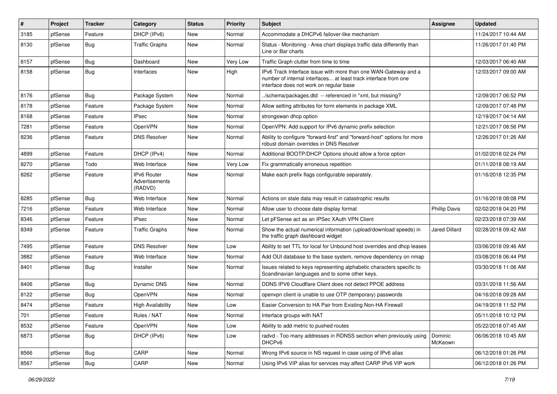| #    | Project | <b>Tracker</b> | Category                                        | <b>Status</b> | <b>Priority</b> | <b>Subject</b>                                                                                                                                                                | Assignee             | <b>Updated</b>      |
|------|---------|----------------|-------------------------------------------------|---------------|-----------------|-------------------------------------------------------------------------------------------------------------------------------------------------------------------------------|----------------------|---------------------|
| 3185 | pfSense | Feature        | DHCP (IPv6)                                     | New           | Normal          | Accommodate a DHCPv6 failover-like mechanism                                                                                                                                  |                      | 11/24/2017 10:44 AM |
| 8130 | pfSense | <b>Bug</b>     | <b>Traffic Graphs</b>                           | New           | Normal          | Status - Monitoring - Area chart displays traffic data differently than<br>Line or Bar charts                                                                                 |                      | 11/26/2017 01:40 PM |
| 8157 | pfSense | Bug            | Dashboard                                       | New           | Very Low        | Traffic Graph clutter from time to time                                                                                                                                       |                      | 12/03/2017 06:40 AM |
| 8158 | pfSense | Bug            | Interfaces                                      | New           | High            | IPv6 Track Interface issue with more than one WAN-Gateway and a<br>number of internal interfaces at least track interface from one<br>interface does not work on regular base |                      | 12/03/2017 09:00 AM |
| 8176 | pfSense | Bug            | Package System                                  | New           | Normal          | ./schema/packages.dtd -- referenced in *xml, but missing?                                                                                                                     |                      | 12/09/2017 06:52 PM |
| 8178 | pfSense | Feature        | Package System                                  | New           | Normal          | Allow setting attributes for form elements in package XML                                                                                                                     |                      | 12/09/2017 07:48 PM |
| 8168 | pfSense | Feature        | <b>IPsec</b>                                    | New           | Normal          | strongswan dhcp option                                                                                                                                                        |                      | 12/19/2017 04:14 AM |
| 7281 | pfSense | Feature        | OpenVPN                                         | New           | Normal          | OpenVPN: Add support for IPv6 dynamic prefix selection                                                                                                                        |                      | 12/21/2017 08:56 PM |
| 8236 | pfSense | Feature        | <b>DNS Resolver</b>                             | New           | Normal          | Ability to configure "forward-first" and "forward-host" options for more<br>robust domain overrides in DNS Resolver                                                           |                      | 12/26/2017 01:26 AM |
| 4899 | pfSense | Feature        | DHCP (IPv4)                                     | New           | Normal          | Additional BOOTP/DHCP Options should allow a force option                                                                                                                     |                      | 01/02/2018 02:24 PM |
| 8270 | pfSense | Todo           | Web Interface                                   | New           | Very Low        | Fix grammatically erroneous repetition                                                                                                                                        |                      | 01/11/2018 08:19 AM |
| 8262 | pfSense | Feature        | <b>IPv6 Router</b><br>Advertisements<br>(RADVD) | New           | Normal          | Make each prefix flags configurable separately.                                                                                                                               |                      | 01/16/2018 12:35 PM |
| 8285 | pfSense | Bug            | Web Interface                                   | New           | Normal          | Actions on stale data may result in catastrophic results                                                                                                                      |                      | 01/16/2018 08:08 PM |
| 7216 | pfSense | Feature        | Web Interface                                   | New           | Normal          | Allow user to choose date display format                                                                                                                                      | <b>Phillip Davis</b> | 02/02/2018 04:20 PM |
| 8346 | pfSense | Feature        | <b>IPsec</b>                                    | New           | Normal          | Let pFSense act as an IPSec XAuth VPN Client                                                                                                                                  |                      | 02/23/2018 07:39 AM |
| 8349 | pfSense | Feature        | <b>Traffic Graphs</b>                           | New           | Normal          | Show the actual numerical information (upload/download speeds) in<br>the traffic graph dashboard widget                                                                       | Jared Dillard        | 02/28/2018 09:42 AM |
| 7495 | pfSense | Feature        | <b>DNS Resolver</b>                             | New           | Low             | Ability to set TTL for local for Unbound host overrides and dhcp leases                                                                                                       |                      | 03/06/2018 09:46 AM |
| 3882 | pfSense | Feature        | Web Interface                                   | New           | Normal          | Add OUI database to the base system, remove dependency on nmap                                                                                                                |                      | 03/08/2018 06:44 PM |
| 8401 | pfSense | <b>Bug</b>     | Installer                                       | New           | Normal          | Issues related to keys representing alphabetic characters specific to<br>Scandinavian languages and to some other keys.                                                       |                      | 03/30/2018 11:06 AM |
| 8406 | pfSense | Bug            | Dynamic DNS                                     | New           | Normal          | DDNS IPV6 Cloudflare Client does not detect PPOE address                                                                                                                      |                      | 03/31/2018 11:56 AM |
| 8122 | pfSense | <b>Bug</b>     | OpenVPN                                         | New           | Normal          | openvpn client is unable to use OTP (temporary) passwords                                                                                                                     |                      | 04/16/2018 09:28 AM |
| 8474 | pfSense | Feature        | <b>High Availability</b>                        | New           | Low             | Easier Conversion to HA Pair from Existing Non-HA Firewall                                                                                                                    |                      | 04/19/2018 11:52 PM |
| 701  | pfSense | Feature        | Rules / NAT                                     | New           | Normal          | Interface groups with NAT                                                                                                                                                     |                      | 05/11/2018 10:12 PM |
| 8532 | pfSense | Feature        | OpenVPN                                         | New           | Low             | Ability to add metric to pushed routes                                                                                                                                        |                      | 05/22/2018 07:45 AM |
| 6873 | pfSense | <b>Bug</b>     | DHCP (IPv6)                                     | New           | Low             | radvd - Too many addresses in RDNSS section when previously using<br>DHCP <sub>v6</sub>                                                                                       | Dominic<br>McKeown   | 06/06/2018 10:45 AM |
| 8566 | pfSense | Bug            | CARP                                            | New           | Normal          | Wrong IPv6 source in NS request in case using of IPv6 alias                                                                                                                   |                      | 06/12/2018 01:26 PM |
| 8567 | pfSense | Bug            | CARP                                            | New           | Normal          | Using IPv6 VIP alias for services may affect CARP IPv6 VIP work                                                                                                               |                      | 06/12/2018 01:26 PM |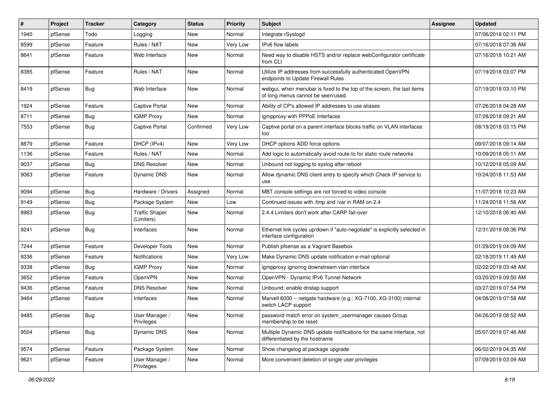| #    | Project | <b>Tracker</b> | Category                            | <b>Status</b> | <b>Priority</b> | <b>Subject</b>                                                                                               | Assignee | <b>Updated</b>      |
|------|---------|----------------|-------------------------------------|---------------|-----------------|--------------------------------------------------------------------------------------------------------------|----------|---------------------|
| 1940 | pfSense | Todo           | Logging                             | New           | Normal          | Integrate rSyslogd                                                                                           |          | 07/06/2018 02:11 PM |
| 8599 | pfSense | Feature        | Rules / NAT                         | New           | Very Low        | IPv6 flow labels                                                                                             |          | 07/16/2018 07:36 AM |
| 8641 | pfSense | Feature        | Web Interface                       | New           | Normal          | Need way to disable HSTS and/or replace webConfigurator certificate<br>from CLI                              |          | 07/16/2018 10:21 AM |
| 8385 | pfSense | Feature        | Rules / NAT                         | New           | Normal          | Utilize IP addresses from successfully authenticated OpenVPN<br>endpoints to Update Firewall Rules           |          | 07/19/2018 03:07 PM |
| 8419 | pfSense | <b>Bug</b>     | Web Interface                       | New           | Normal          | webgui, when menubar is fixed to the top of the screen, the last items<br>of long menus cannot be seen/used. |          | 07/19/2018 03:10 PM |
| 1924 | pfSense | Feature        | <b>Captive Portal</b>               | New           | Normal          | Ability of CP's allowed IP addresses to use aliases                                                          |          | 07/26/2018 04:28 AM |
| 8711 | pfSense | Bug            | <b>IGMP Proxy</b>                   | New           | Normal          | igmpproxy with PPPoE Interfaces                                                                              |          | 07/28/2018 09:21 AM |
| 7553 | pfSense | <b>Bug</b>     | Captive Portal                      | Confirmed     | Very Low        | Captive portal on a parent interface blocks traffic on VLAN interfaces<br>too                                |          | 08/19/2018 03:15 PM |
| 8879 | pfSense | Feature        | DHCP (IPv4)                         | New           | Very Low        | DHCP options ADD force options                                                                               |          | 09/07/2018 09:14 AM |
| 1136 | pfSense | Feature        | Rules / NAT                         | New           | Normal          | Add logic to automatically avoid route-to for static route networks                                          |          | 10/09/2018 05:11 AM |
| 9037 | pfSense | <b>Bug</b>     | <b>DNS Resolver</b>                 | New           | Normal          | Unbound not logging to syslog after reboot                                                                   |          | 10/12/2018 05:09 AM |
| 9063 | pfSense | Feature        | Dynamic DNS                         | New           | Normal          | Allow dynamic DNS client entry to specify which Check IP service to<br>use                                   |          | 10/24/2018 11:53 AM |
| 9094 | pfSense | Bug            | Hardware / Drivers                  | Assigned      | Normal          | MBT console settings are not forced to video console                                                         |          | 11/07/2018 10:23 AM |
| 9149 | pfSense | <b>Bug</b>     | Package System                      | New           | Low             | Continued issues with /tmp and /var in RAM on 2.4                                                            |          | 11/24/2018 11:56 AM |
| 8963 | pfSense | <b>Bug</b>     | <b>Traffic Shaper</b><br>(Limiters) | New           | Normal          | 2.4.4 Limiters don't work after CARP fail-over                                                               |          | 12/10/2018 06:40 AM |
| 9241 | pfSense | <b>Bug</b>     | Interfaces                          | New           | Normal          | Ethernet link cycles up/down if "auto-negotiate" is explicitly selected in<br>interface configuration        |          | 12/31/2018 08:36 PM |
| 7244 | pfSense | Feature        | Developer Tools                     | New           | Normal          | Publish pfsense as a Vagrant Basebox                                                                         |          | 01/29/2019 04:09 AM |
| 9336 | pfSense | Feature        | Notifications                       | New           | Very Low        | Make Dynamic DNS update notification e-mail optional                                                         |          | 02/18/2019 11:49 AM |
| 9338 | pfSense | <b>Bug</b>     | <b>IGMP Proxy</b>                   | New           | Normal          | igmpproxy ignoring downstream vlan interface                                                                 |          | 02/22/2019 03:48 AM |
| 3652 | pfSense | Feature        | OpenVPN                             | New           | Normal          | OpenVPN - Dynamic IPv6 Tunnel Network                                                                        |          | 03/20/2019 09:50 AM |
| 9436 | pfSense | Feature        | <b>DNS Resolver</b>                 | New           | Normal          | Unbound: enable dnstap support                                                                               |          | 03/27/2019 07:54 PM |
| 9464 | pfSense | Feature        | Interfaces                          | New           | Normal          | Marvell 6000 -- netgate hardware (e.g.: XG-7100, XG-3100) internal<br>switch LACP support                    |          | 04/08/2019 07:58 AM |
| 9485 | pfSense | Bug            | User Manager /<br>Privileges        | New           | Normal          | password match error on system_usermanager causes Group<br>membership to be reset.                           |          | 04/26/2019 08:52 AM |
| 9504 | pfSense | Bug            | Dynamic DNS                         | New           | Normal          | Multiple Dynamic DNS update notifications for the same interface, not<br>differentiated by the hostname      |          | 05/07/2019 07:46 AM |
| 9574 | pfSense | Feature        | Package System                      | New           | Normal          | Show changelog at package upgrade                                                                            |          | 06/02/2019 04:35 AM |
| 9621 | pfSense | Feature        | User Manager /<br>Privileges        | New           | Normal          | More convenient deletion of single user privileges                                                           |          | 07/09/2019 03:09 AM |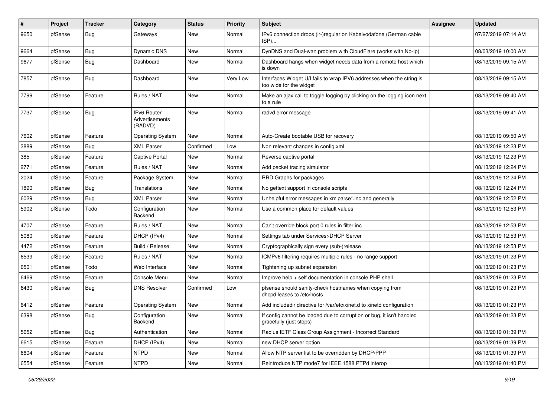| #    | Project | <b>Tracker</b> | Category                                 | <b>Status</b> | <b>Priority</b> | Subject                                                                                          | Assignee | <b>Updated</b>      |
|------|---------|----------------|------------------------------------------|---------------|-----------------|--------------------------------------------------------------------------------------------------|----------|---------------------|
| 9650 | pfSense | Bug            | Gateways                                 | New           | Normal          | IPv6 connection drops (ir-)regular on Kabelvodafone (German cable<br>ISP)                        |          | 07/27/2019 07:14 AM |
| 9664 | pfSense | Bug            | Dynamic DNS                              | New           | Normal          | DynDNS and Dual-wan problem with CloudFlare (works with No-Ip)                                   |          | 08/03/2019 10:00 AM |
| 9677 | pfSense | <b>Bug</b>     | Dashboard                                | New           | Normal          | Dashboard hangs when widget needs data from a remote host which<br>is down                       |          | 08/13/2019 09:15 AM |
| 7857 | pfSense | Bug            | Dashboard                                | <b>New</b>    | Very Low        | Interfaces Widget U/I fails to wrap IPV6 addresses when the string is<br>too wide for the widget |          | 08/13/2019 09:15 AM |
| 7799 | pfSense | Feature        | Rules / NAT                              | New           | Normal          | Make an ajax call to toggle logging by clicking on the logging icon next<br>to a rule            |          | 08/13/2019 09:40 AM |
| 7737 | pfSense | Bug            | IPv6 Router<br>Advertisements<br>(RADVD) | New           | Normal          | radvd error message                                                                              |          | 08/13/2019 09:41 AM |
| 7602 | pfSense | Feature        | <b>Operating System</b>                  | New           | Normal          | Auto-Create bootable USB for recovery                                                            |          | 08/13/2019 09:50 AM |
| 3889 | pfSense | Bug            | <b>XML Parser</b>                        | Confirmed     | Low             | Non relevant changes in config.xml                                                               |          | 08/13/2019 12:23 PM |
| 385  | pfSense | Feature        | <b>Captive Portal</b>                    | <b>New</b>    | Normal          | Reverse captive portal                                                                           |          | 08/13/2019 12:23 PM |
| 2771 | pfSense | Feature        | Rules / NAT                              | New           | Normal          | Add packet tracing simulator                                                                     |          | 08/13/2019 12:24 PM |
| 2024 | pfSense | Feature        | Package System                           | New           | Normal          | RRD Graphs for packages                                                                          |          | 08/13/2019 12:24 PM |
| 1890 | pfSense | <b>Bug</b>     | Translations                             | New           | Normal          | No gettext support in console scripts                                                            |          | 08/13/2019 12:24 PM |
| 6029 | pfSense | Bug            | <b>XML Parser</b>                        | <b>New</b>    | Normal          | Unhelpful error messages in xmlparse*.inc and generally                                          |          | 08/13/2019 12:52 PM |
| 5902 | pfSense | Todo           | Configuration<br>Backend                 | New           | Normal          | Use a common place for default values                                                            |          | 08/13/2019 12:53 PM |
| 4707 | pfSense | Feature        | Rules / NAT                              | New           | Normal          | Can't override block port 0 rules in filter.inc                                                  |          | 08/13/2019 12:53 PM |
| 5080 | pfSense | Feature        | DHCP (IPv4)                              | <b>New</b>    | Normal          | Settings tab under Services>DHCP Server                                                          |          | 08/13/2019 12:53 PM |
| 4472 | pfSense | Feature        | Build / Release                          | <b>New</b>    | Normal          | Cryptographically sign every (sub-)release                                                       |          | 08/13/2019 12:53 PM |
| 6539 | pfSense | Feature        | Rules / NAT                              | New           | Normal          | ICMPv6 filtering requires multiple rules - no range support                                      |          | 08/13/2019 01:23 PM |
| 6501 | pfSense | Todo           | Web Interface                            | New           | Normal          | Tightening up subnet expansion                                                                   |          | 08/13/2019 01:23 PM |
| 6469 | pfSense | Feature        | Console Menu                             | New           | Normal          | Improve help + self documentation in console PHP shell                                           |          | 08/13/2019 01:23 PM |
| 6430 | pfSense | Bug            | <b>DNS Resolver</b>                      | Confirmed     | Low             | pfsense should sanity-check hostnames when copying from<br>dhcpd.leases to /etc/hosts            |          | 08/13/2019 01:23 PM |
| 6412 | pfSense | Feature        | <b>Operating System</b>                  | New           | Normal          | Add includedir directive for /var/etc/xinet.d to xinetd configuration                            |          | 08/13/2019 01:23 PM |
| 6398 | pfSense | <b>Bug</b>     | Configuration<br>Backend                 | New           | Normal          | If config cannot be loaded due to corruption or bug, it isn't handled<br>gracefully (just stops) |          | 08/13/2019 01:23 PM |
| 5652 | pfSense | Bug            | Authentication                           | New           | Normal          | Radius IETF Class Group Assignment - Incorrect Standard                                          |          | 08/13/2019 01:39 PM |
| 6615 | pfSense | Feature        | DHCP (IPv4)                              | New           | Normal          | new DHCP server option                                                                           |          | 08/13/2019 01:39 PM |
| 6604 | pfSense | Feature        | <b>NTPD</b>                              | New           | Normal          | Allow NTP server list to be overridden by DHCP/PPP                                               |          | 08/13/2019 01:39 PM |
| 6554 | pfSense | Feature        | <b>NTPD</b>                              | New           | Normal          | Reintroduce NTP mode7 for IEEE 1588 PTPd interop                                                 |          | 08/13/2019 01:40 PM |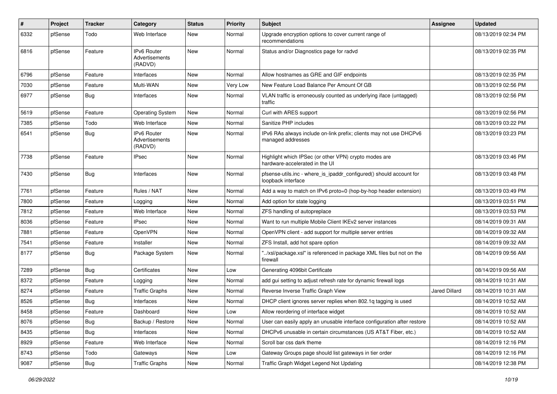| #    | Project | <b>Tracker</b> | Category                                        | <b>Status</b> | <b>Priority</b> | Subject                                                                                   | <b>Assignee</b>      | <b>Updated</b>      |
|------|---------|----------------|-------------------------------------------------|---------------|-----------------|-------------------------------------------------------------------------------------------|----------------------|---------------------|
| 6332 | pfSense | Todo           | Web Interface                                   | New           | Normal          | Upgrade encryption options to cover current range of<br>recommendations                   |                      | 08/13/2019 02:34 PM |
| 6816 | pfSense | Feature        | <b>IPv6 Router</b><br>Advertisements<br>(RADVD) | <b>New</b>    | Normal          | Status and/or Diagnostics page for radvd                                                  |                      | 08/13/2019 02:35 PM |
| 6796 | pfSense | Feature        | Interfaces                                      | New           | Normal          | Allow hostnames as GRE and GIF endpoints                                                  |                      | 08/13/2019 02:35 PM |
| 7030 | pfSense | Feature        | Multi-WAN                                       | New           | Very Low        | New Feature Load Balance Per Amount Of GB                                                 |                      | 08/13/2019 02:56 PM |
| 6977 | pfSense | Bug            | Interfaces                                      | New           | Normal          | VLAN traffic is erroneously counted as underlying iface (untagged)<br>traffic             |                      | 08/13/2019 02:56 PM |
| 5619 | pfSense | Feature        | <b>Operating System</b>                         | <b>New</b>    | Normal          | Curl with ARES support                                                                    |                      | 08/13/2019 02:56 PM |
| 7385 | pfSense | Todo           | Web Interface                                   | New           | Normal          | Sanitize PHP includes                                                                     |                      | 08/13/2019 03:22 PM |
| 6541 | pfSense | <b>Bug</b>     | IPv6 Router<br>Advertisements<br>(RADVD)        | New           | Normal          | IPv6 RAs always include on-link prefix; clients may not use DHCPv6<br>managed addresses   |                      | 08/13/2019 03:23 PM |
| 7738 | pfSense | Feature        | <b>IPsec</b>                                    | New           | Normal          | Highlight which IPSec (or other VPN) crypto modes are<br>hardware-accelerated in the UI   |                      | 08/13/2019 03:46 PM |
| 7430 | pfSense | Bug            | Interfaces                                      | New           | Normal          | pfsense-utils.inc - where_is_ipaddr_configured() should account for<br>loopback interface |                      | 08/13/2019 03:48 PM |
| 7761 | pfSense | Feature        | Rules / NAT                                     | <b>New</b>    | Normal          | Add a way to match on IPv6 proto=0 (hop-by-hop header extension)                          |                      | 08/13/2019 03:49 PM |
| 7800 | pfSense | Feature        | Logging                                         | New           | Normal          | Add option for state logging                                                              |                      | 08/13/2019 03:51 PM |
| 7812 | pfSense | Feature        | Web Interface                                   | <b>New</b>    | Normal          | ZFS handling of autopreplace                                                              |                      | 08/13/2019 03:53 PM |
| 8036 | pfSense | Feature        | <b>IPsec</b>                                    | New           | Normal          | Want to run multiple Mobile Client IKEv2 server instances                                 |                      | 08/14/2019 09:31 AM |
| 7881 | pfSense | Feature        | OpenVPN                                         | New           | Normal          | OpenVPN client - add support for multiple server entries                                  |                      | 08/14/2019 09:32 AM |
| 7541 | pfSense | Feature        | Installer                                       | <b>New</b>    | Normal          | ZFS Install, add hot spare option                                                         |                      | 08/14/2019 09:32 AM |
| 8177 | pfSense | <b>Bug</b>     | Package System                                  | New           | Normal          | "/xsl/package.xsl" is referenced in package XML files but not on the<br>firewall          |                      | 08/14/2019 09:56 AM |
| 7289 | pfSense | Bug            | Certificates                                    | <b>New</b>    | Low             | Generating 4096bit Certificate                                                            |                      | 08/14/2019 09:56 AM |
| 8372 | pfSense | Feature        | Logging                                         | New           | Normal          | add gui setting to adjust refresh rate for dynamic firewall logs                          |                      | 08/14/2019 10:31 AM |
| 8274 | pfSense | Feature        | <b>Traffic Graphs</b>                           | <b>New</b>    | Normal          | Reverse Inverse Traffic Graph View                                                        | <b>Jared Dillard</b> | 08/14/2019 10:31 AM |
| 8526 | pfSense | <b>Bug</b>     | Interfaces                                      | New           | Normal          | DHCP client ignores server replies when 802.1g tagging is used                            |                      | 08/14/2019 10:52 AM |
| 8458 | pfSense | Feature        | Dashboard                                       | New           | Low             | Allow reordering of interface widget                                                      |                      | 08/14/2019 10:52 AM |
| 8076 | pfSense | Bug            | Backup / Restore                                | New           | Normal          | User can easily apply an unusable interface configuration after restore                   |                      | 08/14/2019 10:52 AM |
| 8435 | pfSense | <b>Bug</b>     | Interfaces                                      | New           | Normal          | DHCPv6 unusable in certain circumstances (US AT&T Fiber, etc.)                            |                      | 08/14/2019 10:52 AM |
| 8929 | pfSense | Feature        | Web Interface                                   | New           | Normal          | Scroll bar css dark theme                                                                 |                      | 08/14/2019 12:16 PM |
| 8743 | pfSense | Todo           | Gateways                                        | New           | Low             | Gateway Groups page should list gateways in tier order                                    |                      | 08/14/2019 12:16 PM |
| 9087 | pfSense | Bug            | <b>Traffic Graphs</b>                           | New           | Normal          | Traffic Graph Widget Legend Not Updating                                                  |                      | 08/14/2019 12:38 PM |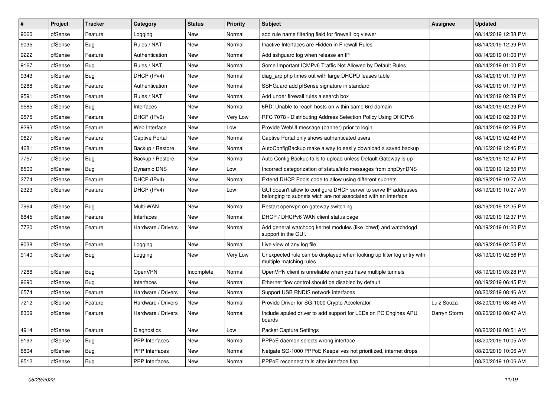| #    | Project | <b>Tracker</b> | Category           | <b>Status</b> | <b>Priority</b> | <b>Subject</b>                                                                                                                     | <b>Assignee</b> | <b>Updated</b>      |
|------|---------|----------------|--------------------|---------------|-----------------|------------------------------------------------------------------------------------------------------------------------------------|-----------------|---------------------|
| 9060 | pfSense | Feature        | Logging            | New           | Normal          | add rule name filtering field for firewall log viewer                                                                              |                 | 08/14/2019 12:38 PM |
| 9035 | pfSense | Bug            | Rules / NAT        | New           | Normal          | Inactive Interfaces are Hidden in Firewall Rules                                                                                   |                 | 08/14/2019 12:39 PM |
| 9222 | pfSense | Feature        | Authentication     | New           | Normal          | Add sshguard log when release an IP                                                                                                |                 | 08/14/2019 01:00 PM |
| 9167 | pfSense | Bug            | Rules / NAT        | New           | Normal          | Some Important ICMPv6 Traffic Not Allowed by Default Rules                                                                         |                 | 08/14/2019 01:00 PM |
| 9343 | pfSense | Bug            | DHCP (IPv4)        | <b>New</b>    | Normal          | diag_arp.php times out with large DHCPD leases table                                                                               |                 | 08/14/2019 01:19 PM |
| 9288 | pfSense | Feature        | Authentication     | New           | Normal          | SSHGuard add pfSense signature in standard                                                                                         |                 | 08/14/2019 01:19 PM |
| 9591 | pfSense | Feature        | Rules / NAT        | New           | Normal          | Add under firewall rules a search box                                                                                              |                 | 08/14/2019 02:39 PM |
| 9585 | pfSense | Bug            | Interfaces         | New           | Normal          | 6RD: Unable to reach hosts on within same 6rd-domain                                                                               |                 | 08/14/2019 02:39 PM |
| 9575 | pfSense | Feature        | DHCP (IPv6)        | <b>New</b>    | Very Low        | RFC 7078 - Distributing Address Selection Policy Using DHCPv6                                                                      |                 | 08/14/2019 02:39 PM |
| 9293 | pfSense | Feature        | Web Interface      | New           | Low             | Provide WebUI message (banner) prior to login                                                                                      |                 | 08/14/2019 02:39 PM |
| 9627 | pfSense | Feature        | Captive Portal     | New           | Normal          | Captive Portal only shows authenticated users                                                                                      |                 | 08/14/2019 02:48 PM |
| 4681 | pfSense | Feature        | Backup / Restore   | New           | Normal          | AutoConfigBackup make a way to easily download a saved backup                                                                      |                 | 08/16/2019 12:46 PM |
| 7757 | pfSense | <b>Bug</b>     | Backup / Restore   | <b>New</b>    | Normal          | Auto Config Backup fails to upload unless Default Gateway is up                                                                    |                 | 08/16/2019 12:47 PM |
| 8500 | pfSense | Bug            | Dynamic DNS        | New           | Low             | Incorrect categorization of status/info messages from phpDynDNS                                                                    |                 | 08/16/2019 12:50 PM |
| 2774 | pfSense | Feature        | DHCP (IPv4)        | <b>New</b>    | Normal          | Extend DHCP Pools code to allow using different subnets                                                                            |                 | 08/19/2019 10:27 AM |
| 2323 | pfSense | Feature        | DHCP (IPv4)        | New           | Low             | GUI doesn't allow to configure DHCP server to serve IP addresses<br>belonging to subnets wich are not associated with an interface |                 | 08/19/2019 10:27 AM |
| 7964 | pfSense | Bug            | Multi-WAN          | New           | Normal          | Restart openvpn on gateway switching                                                                                               |                 | 08/19/2019 12:35 PM |
| 6845 | pfSense | Feature        | Interfaces         | New           | Normal          | DHCP / DHCPv6 WAN client status page                                                                                               |                 | 08/19/2019 12:37 PM |
| 7720 | pfSense | Feature        | Hardware / Drivers | New           | Normal          | Add general watchdog kernel modules (like ichwd) and watchdogd<br>support in the GUI.                                              |                 | 08/19/2019 01:20 PM |
| 9038 | pfSense | Feature        | Logging            | New           | Normal          | Live view of any log file                                                                                                          |                 | 08/19/2019 02:55 PM |
| 9140 | pfSense | Bug            | Logging            | New           | Very Low        | Unexpected rule can be displayed when looking up filter log entry with<br>multiple matching rules                                  |                 | 08/19/2019 02:56 PM |
| 7286 | pfSense | Bug            | OpenVPN            | Incomplete    | Normal          | OpenVPN client is unreliable when you have multiple tunnels                                                                        |                 | 08/19/2019 03:28 PM |
| 9690 | pfSense | Bug            | Interfaces         | <b>New</b>    | Normal          | Ethernet flow control should be disabled by default                                                                                |                 | 08/19/2019 06:45 PM |
| 6574 | pfSense | Feature        | Hardware / Drivers | New           | Normal          | Support USB RNDIS network interfaces                                                                                               |                 | 08/20/2019 08:46 AM |
| 7212 | pfSense | Feature        | Hardware / Drivers | New           | Normal          | Provide Driver for SG-1000 Crypto Accelerator                                                                                      | Luiz Souza      | 08/20/2019 08:46 AM |
| 8309 | pfSense | Feature        | Hardware / Drivers | New           | Normal          | Include apuled driver to add support for LEDs on PC Engines APU<br>boards                                                          | Darryn Storm    | 08/20/2019 08:47 AM |
| 4914 | pfSense | Feature        | Diagnostics        | New           | Low             | <b>Packet Capture Settings</b>                                                                                                     |                 | 08/20/2019 08:51 AM |
| 9192 | pfSense | Bug            | PPP Interfaces     | New           | Normal          | PPPoE daemon selects wrong interface                                                                                               |                 | 08/20/2019 10:05 AM |
| 8804 | pfSense | <b>Bug</b>     | PPP Interfaces     | New           | Normal          | Netgate SG-1000 PPPoE Keepalives not prioritized, internet drops                                                                   |                 | 08/20/2019 10:06 AM |
| 8512 | pfSense | <b>Bug</b>     | PPP Interfaces     | New           | Normal          | PPPoE reconnect fails after interface flap                                                                                         |                 | 08/20/2019 10:06 AM |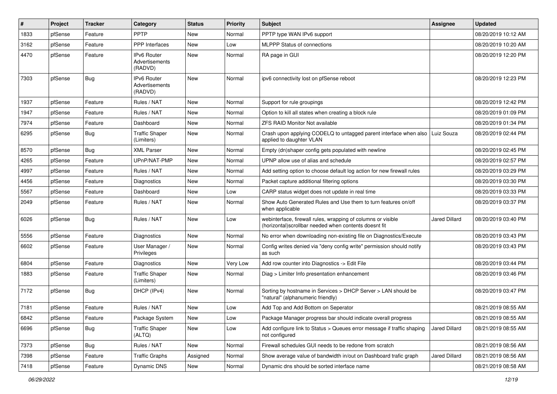| #    | Project | <b>Tracker</b> | Category                                        | <b>Status</b> | <b>Priority</b> | Subject                                                                                                                | Assignee      | <b>Updated</b>      |
|------|---------|----------------|-------------------------------------------------|---------------|-----------------|------------------------------------------------------------------------------------------------------------------------|---------------|---------------------|
| 1833 | pfSense | Feature        | PPTP                                            | New           | Normal          | PPTP type WAN IPv6 support                                                                                             |               | 08/20/2019 10:12 AM |
| 3162 | pfSense | Feature        | <b>PPP</b> Interfaces                           | <b>New</b>    | Low             | MLPPP Status of connections                                                                                            |               | 08/20/2019 10:20 AM |
| 4470 | pfSense | Feature        | <b>IPv6 Router</b><br>Advertisements<br>(RADVD) | <b>New</b>    | Normal          | RA page in GUI                                                                                                         |               | 08/20/2019 12:20 PM |
| 7303 | pfSense | <b>Bug</b>     | IPv6 Router<br>Advertisements<br>(RADVD)        | <b>New</b>    | Normal          | ipv6 connectivity lost on pfSense reboot                                                                               |               | 08/20/2019 12:23 PM |
| 1937 | pfSense | Feature        | Rules / NAT                                     | <b>New</b>    | Normal          | Support for rule groupings                                                                                             |               | 08/20/2019 12:42 PM |
| 1947 | pfSense | Feature        | Rules / NAT                                     | <b>New</b>    | Normal          | Option to kill all states when creating a block rule                                                                   |               | 08/20/2019 01:09 PM |
| 7974 | pfSense | Feature        | Dashboard                                       | New           | Normal          | <b>ZFS RAID Monitor Not available</b>                                                                                  |               | 08/20/2019 01:34 PM |
| 6295 | pfSense | <b>Bug</b>     | <b>Traffic Shaper</b><br>(Limiters)             | New           | Normal          | Crash upon applying CODELQ to untagged parent interface when also<br>applied to daughter VLAN                          | Luiz Souza    | 08/20/2019 02:44 PM |
| 8570 | pfSense | Bug            | <b>XML Parser</b>                               | New           | Normal          | Empty (dn)shaper config gets populated with newline                                                                    |               | 08/20/2019 02:45 PM |
| 4265 | pfSense | Feature        | UPnP/NAT-PMP                                    | New           | Normal          | UPNP allow use of alias and schedule                                                                                   |               | 08/20/2019 02:57 PM |
| 4997 | pfSense | Feature        | Rules / NAT                                     | <b>New</b>    | Normal          | Add setting option to choose default log action for new firewall rules                                                 |               | 08/20/2019 03:29 PM |
| 4456 | pfSense | Feature        | Diagnostics                                     | New           | Normal          | Packet capture additional filtering options                                                                            |               | 08/20/2019 03:30 PM |
| 5567 | pfSense | Feature        | Dashboard                                       | New           | Low             | CARP status widget does not update in real time                                                                        |               | 08/20/2019 03:33 PM |
| 2049 | pfSense | Feature        | Rules / NAT                                     | New           | Normal          | Show Auto Generated Rules and Use them to turn features on/off<br>when applicable                                      |               | 08/20/2019 03:37 PM |
| 6026 | pfSense | Bug            | Rules / NAT                                     | New           | Low             | webinterface, firewall rules, wrapping of columns or visible<br>(horizontal) scrollbar needed when contents doesnt fit | Jared Dillard | 08/20/2019 03:40 PM |
| 5556 | pfSense | Feature        | Diagnostics                                     | <b>New</b>    | Normal          | No error when downloading non-existing file on Diagnostics/Execute                                                     |               | 08/20/2019 03:43 PM |
| 6602 | pfSense | Feature        | User Manager /<br>Privileges                    | New           | Normal          | Config writes denied via "deny config write" permission should notify<br>as such                                       |               | 08/20/2019 03:43 PM |
| 6804 | pfSense | Feature        | Diagnostics                                     | <b>New</b>    | Very Low        | Add row counter into Diagnostics -> Edit File                                                                          |               | 08/20/2019 03:44 PM |
| 1883 | pfSense | Feature        | <b>Traffic Shaper</b><br>(Limiters)             | New           | Normal          | Diag > Limiter Info presentation enhancement                                                                           |               | 08/20/2019 03:46 PM |
| 7172 | pfSense | <b>Bug</b>     | DHCP (IPv4)                                     | New           | Normal          | Sorting by hostname in Services > DHCP Server > LAN should be<br>"natural" (alphanumeric friendly)                     |               | 08/20/2019 03:47 PM |
| 7181 | pfSense | Feature        | Rules / NAT                                     | New           | Low             | Add Top and Add Bottom on Seperator                                                                                    |               | 08/21/2019 08:55 AM |
| 6842 | pfSense | Feature        | Package System                                  | New           | Low             | Package Manager progress bar should indicate overall progress                                                          |               | 08/21/2019 08:55 AM |
| 6696 | pfSense | <b>Bug</b>     | <b>Traffic Shaper</b><br>(ALTQ)                 | New           | Low             | Add configure link to Status > Queues error message if traffic shaping<br>not configured                               | Jared Dillard | 08/21/2019 08:55 AM |
| 7373 | pfSense | <b>Bug</b>     | Rules / NAT                                     | New           | Normal          | Firewall schedules GUI needs to be redone from scratch                                                                 |               | 08/21/2019 08:56 AM |
| 7398 | pfSense | Feature        | <b>Traffic Graphs</b>                           | Assigned      | Normal          | Show average value of bandwidth in/out on Dashboard trafic graph                                                       | Jared Dillard | 08/21/2019 08:56 AM |
| 7418 | pfSense | Feature        | Dynamic DNS                                     | New           | Normal          | Dynamic dns should be sorted interface name                                                                            |               | 08/21/2019 08:58 AM |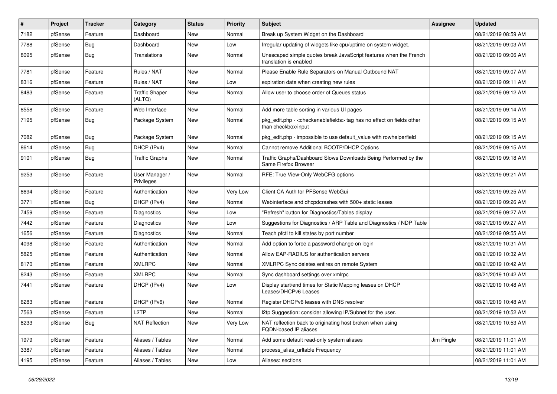| #    | Project | <b>Tracker</b> | Category                        | <b>Status</b> | <b>Priority</b> | <b>Subject</b>                                                                                 | Assignee   | <b>Updated</b>      |
|------|---------|----------------|---------------------------------|---------------|-----------------|------------------------------------------------------------------------------------------------|------------|---------------------|
| 7182 | pfSense | Feature        | Dashboard                       | New           | Normal          | Break up System Widget on the Dashboard                                                        |            | 08/21/2019 08:59 AM |
| 7788 | pfSense | Bug            | Dashboard                       | New           | Low             | Irregular updating of widgets like cpu/uptime on system widget.                                |            | 08/21/2019 09:03 AM |
| 8095 | pfSense | <b>Bug</b>     | Translations                    | New           | Normal          | Unescaped simple quotes break JavaScript features when the French<br>translation is enabled    |            | 08/21/2019 09:06 AM |
| 7781 | pfSense | Feature        | Rules / NAT                     | New           | Normal          | Please Enable Rule Separators on Manual Outbound NAT                                           |            | 08/21/2019 09:07 AM |
| 8316 | pfSense | Feature        | Rules / NAT                     | New           | Low             | expiration date when creating new rules                                                        |            | 08/21/2019 09:11 AM |
| 8483 | pfSense | Feature        | <b>Traffic Shaper</b><br>(ALTQ) | New           | Normal          | Allow user to choose order of Queues status                                                    |            | 08/21/2019 09:12 AM |
| 8558 | pfSense | Feature        | Web Interface                   | New           | Normal          | Add more table sorting in various UI pages                                                     |            | 08/21/2019 09:14 AM |
| 7195 | pfSense | Bug            | Package System                  | New           | Normal          | pkg edit.php - < checkenable fields > tag has no effect on fields other<br>than checkbox/input |            | 08/21/2019 09:15 AM |
| 7082 | pfSense | Bug            | Package System                  | New           | Normal          | pkg edit.php - impossible to use default value with rowhelperfield                             |            | 08/21/2019 09:15 AM |
| 8614 | pfSense | Bug            | DHCP (IPv4)                     | New           | Normal          | Cannot remove Additional BOOTP/DHCP Options                                                    |            | 08/21/2019 09:15 AM |
| 9101 | pfSense | Bug            | <b>Traffic Graphs</b>           | New           | Normal          | Traffic Graphs/Dashboard Slows Downloads Being Performed by the<br>Same Firefox Browser        |            | 08/21/2019 09:18 AM |
| 9253 | pfSense | Feature        | User Manager /<br>Privileges    | New           | Normal          | RFE: True View-Only WebCFG options                                                             |            | 08/21/2019 09:21 AM |
| 8694 | pfSense | Feature        | Authentication                  | New           | Very Low        | Client CA Auth for PFSense WebGui                                                              |            | 08/21/2019 09:25 AM |
| 3771 | pfSense | <b>Bug</b>     | DHCP (IPv4)                     | New           | Normal          | Webinterface and dhcpdcrashes with 500+ static leases                                          |            | 08/21/2019 09:26 AM |
| 7459 | pfSense | Feature        | <b>Diagnostics</b>              | New           | Low             | 'Refresh" button for Diagnostics/Tables display                                                |            | 08/21/2019 09:27 AM |
| 7442 | pfSense | Feature        | <b>Diagnostics</b>              | New           | Low             | Suggestions for Diagnostics / ARP Table and Diagnostics / NDP Table                            |            | 08/21/2019 09:27 AM |
| 1656 | pfSense | Feature        | Diagnostics                     | New           | Normal          | Teach pfctl to kill states by port number                                                      |            | 08/21/2019 09:55 AM |
| 4098 | pfSense | Feature        | Authentication                  | New           | Normal          | Add option to force a password change on login                                                 |            | 08/21/2019 10:31 AM |
| 5825 | pfSense | Feature        | Authentication                  | New           | Normal          | Allow EAP-RADIUS for authentication servers                                                    |            | 08/21/2019 10:32 AM |
| 8170 | pfSense | Feature        | <b>XMLRPC</b>                   | New           | Normal          | XMLRPC Sync deletes entires on remote System                                                   |            | 08/21/2019 10:42 AM |
| 8243 | pfSense | Feature        | <b>XMLRPC</b>                   | New           | Normal          | Sync dashboard settings over xmlrpc                                                            |            | 08/21/2019 10:42 AM |
| 7441 | pfSense | Feature        | DHCP (IPv4)                     | New           | Low             | Display start/end times for Static Mapping leases on DHCP<br>Leases/DHCPv6 Leases              |            | 08/21/2019 10:48 AM |
| 6283 | pfSense | Feature        | DHCP (IPv6)                     | New           | Normal          | Register DHCPv6 leases with DNS resolver                                                       |            | 08/21/2019 10:48 AM |
| 7563 | pfSense | Feature        | L <sub>2</sub> TP               | New           | Normal          | I2tp Suggestion: consider allowing IP/Subnet for the user.                                     |            | 08/21/2019 10:52 AM |
| 8233 | pfSense | Bug            | <b>NAT Reflection</b>           | New           | Very Low        | NAT reflection back to originating host broken when using<br>FQDN-based IP aliases             |            | 08/21/2019 10:53 AM |
| 1979 | pfSense | Feature        | Aliases / Tables                | New           | Normal          | Add some default read-only system aliases                                                      | Jim Pingle | 08/21/2019 11:01 AM |
| 3387 | pfSense | Feature        | Aliases / Tables                | New           | Normal          | process alias urltable Frequency                                                               |            | 08/21/2019 11:01 AM |
| 4195 | pfSense | Feature        | Aliases / Tables                | New           | Low             | Aliases: sections                                                                              |            | 08/21/2019 11:01 AM |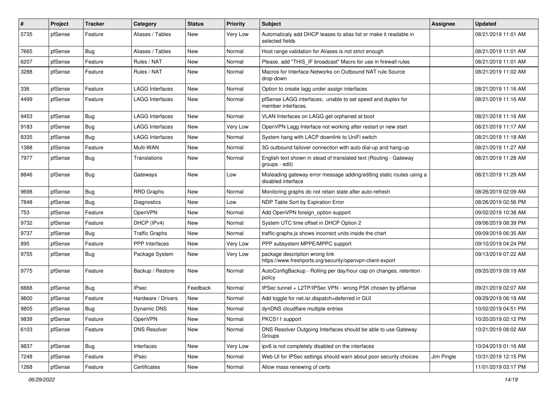| $\vert$ # | Project | <b>Tracker</b> | Category               | <b>Status</b> | <b>Priority</b> | Subject                                                                                     | <b>Assignee</b> | <b>Updated</b>      |
|-----------|---------|----------------|------------------------|---------------|-----------------|---------------------------------------------------------------------------------------------|-----------------|---------------------|
| 5735      | pfSense | Feature        | Aliases / Tables       | New           | Very Low        | Automaticaly add DHCP leases to alias list or make it readable in<br>selected fields        |                 | 08/21/2019 11:01 AM |
| 7665      | pfSense | Bug            | Aliases / Tables       | New           | Normal          | Host range validation for Aliases is not strict enough                                      |                 | 08/21/2019 11:01 AM |
| 6207      | pfSense | Feature        | Rules / NAT            | <b>New</b>    | Normal          | Please, add "THIS IF broadcast" Macro for use in firewall rules                             |                 | 08/21/2019 11:01 AM |
| 3288      | pfSense | Feature        | Rules / NAT            | <b>New</b>    | Normal          | Macros for Interface Networks on Outbound NAT rule Source<br>drop-down                      |                 | 08/21/2019 11:02 AM |
| 336       | pfSense | Feature        | <b>LAGG Interfaces</b> | <b>New</b>    | Normal          | Option to create lagg under assign interfaces                                               |                 | 08/21/2019 11:16 AM |
| 4499      | pfSense | Feature        | LAGG Interfaces        | <b>New</b>    | Normal          | pfSense LAGG interfaces; unable to set speed and duplex for<br>member interfaces.           |                 | 08/21/2019 11:16 AM |
| 9453      | pfSense | Bug            | <b>LAGG Interfaces</b> | <b>New</b>    | Normal          | VLAN Interfaces on LAGG get orphaned at boot                                                |                 | 08/21/2019 11:16 AM |
| 9183      | pfSense | Bug            | <b>LAGG Interfaces</b> | New           | Very Low        | OpenVPN Lagg Interface not working after restart or new start                               |                 | 08/21/2019 11:17 AM |
| 8335      | pfSense | <b>Bug</b>     | <b>LAGG Interfaces</b> | New           | Normal          | System hang with LACP downlink to UniFi switch                                              |                 | 08/21/2019 11:18 AM |
| 1388      | pfSense | Feature        | Multi-WAN              | <b>New</b>    | Normal          | 3G outbound failover connection with auto dial-up and hang-up                               |                 | 08/21/2019 11:27 AM |
| 7977      | pfSense | <b>Bug</b>     | Translations           | <b>New</b>    | Normal          | English text shown in stead of translated text (Routing - Gateway<br>groups - edit)         |                 | 08/21/2019 11:28 AM |
| 8846      | pfSense | Bug            | Gateways               | New           | Low             | Misleading gateway error message adding/editing static routes using a<br>disabled interface |                 | 08/21/2019 11:29 AM |
| 9698      | pfSense | Bug            | <b>RRD Graphs</b>      | <b>New</b>    | Normal          | Monitoring graphs do not retain state after auto-refresh                                    |                 | 08/26/2019 02:09 AM |
| 7848      | pfSense | Bug            | <b>Diagnostics</b>     | New           | Low             | NDP Table Sort by Expiration Error                                                          |                 | 08/26/2019 02:56 PM |
| 753       | pfSense | Feature        | OpenVPN                | <b>New</b>    | Normal          | Add OpenVPN foreign_option support                                                          |                 | 09/02/2019 10:38 AM |
| 9732      | pfSense | Feature        | DHCP (IPv4)            | <b>New</b>    | Normal          | System UTC time offset in DHCP Option 2                                                     |                 | 09/06/2019 08:39 PM |
| 9737      | pfSense | <b>Bug</b>     | <b>Traffic Graphs</b>  | New           | Normal          | traffic-graphs.js shows incorrect units inside the chart                                    |                 | 09/09/2019 06:35 AM |
| 895       | pfSense | Feature        | <b>PPP</b> Interfaces  | New           | Very Low        | PPP subsystem MPPE/MPPC support                                                             |                 | 09/10/2019 04:24 PM |
| 9755      | pfSense | <b>Bug</b>     | Package System         | <b>New</b>    | Very Low        | package description wrong link<br>https://www.freshports.org/security/openvpn-client-export |                 | 09/13/2019 07:22 AM |
| 9775      | pfSense | Feature        | Backup / Restore       | <b>New</b>    | Normal          | AutoConfigBackup - Rolling per day/hour cap on changes, retention<br>policy                 |                 | 09/20/2019 09:19 AM |
| 6668      | pfSense | Bug            | <b>IPsec</b>           | Feedback      | Normal          | IPSec tunnel + L2TP/IPSec VPN - wrong PSK chosen by pfSense                                 |                 | 09/21/2019 02:07 AM |
| 9800      | pfSense | Feature        | Hardware / Drivers     | <b>New</b>    | Normal          | Add toggle for net.isr.dispatch=deferred in GUI                                             |                 | 09/29/2019 06:18 AM |
| 9805      | pfSense | <b>Bug</b>     | Dynamic DNS            | New           | Normal          | dynDNS cloudflare multiple entries                                                          |                 | 10/02/2019 04:51 PM |
| 9838      | pfSense | Feature        | OpenVPN                | New           | Normal          | PKCS11 support                                                                              |                 | 10/20/2019 02:12 PM |
| 6103      | pfSense | Feature        | <b>DNS Resolver</b>    | New           | Normal          | DNS Resolver Outgoing Interfaces should be able to use Gateway<br>Groups                    |                 | 10/21/2019 08:02 AM |
| 9837      | pfSense | Bug            | Interfaces             | <b>New</b>    | Very Low        | ipv6 is not completely disabled on the interfaces                                           |                 | 10/24/2019 01:16 AM |
| 7248      | pfSense | Feature        | <b>IPsec</b>           | New           | Normal          | Web UI for IPSec settings should warn about poor security choices                           | Jim Pingle      | 10/31/2019 12:15 PM |
| 1268      | pfSense | Feature        | Certificates           | New           | Normal          | Allow mass renewing of certs                                                                |                 | 11/01/2019 03:17 PM |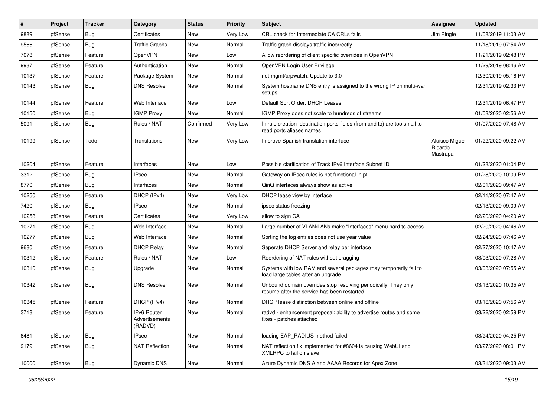| #     | Project | <b>Tracker</b> | Category                                 | <b>Status</b> | <b>Priority</b> | <b>Subject</b>                                                                                                  | <b>Assignee</b>                       | <b>Updated</b>      |
|-------|---------|----------------|------------------------------------------|---------------|-----------------|-----------------------------------------------------------------------------------------------------------------|---------------------------------------|---------------------|
| 9889  | pfSense | Bug            | Certificates                             | New           | Very Low        | CRL check for Intermediate CA CRLs fails                                                                        | Jim Pingle                            | 11/08/2019 11:03 AM |
| 9566  | pfSense | Bug            | <b>Traffic Graphs</b>                    | <b>New</b>    | Normal          | Traffic graph displays traffic incorrectly                                                                      |                                       | 11/18/2019 07:54 AM |
| 7078  | pfSense | Feature        | <b>OpenVPN</b>                           | New           | Low             | Allow reordering of client specific overrides in OpenVPN                                                        |                                       | 11/21/2019 02:48 PM |
| 9937  | pfSense | Feature        | Authentication                           | <b>New</b>    | Normal          | OpenVPN Login User Privilege                                                                                    |                                       | 11/29/2019 08:46 AM |
| 10137 | pfSense | Feature        | Package System                           | <b>New</b>    | Normal          | net-mgmt/arpwatch: Update to 3.0                                                                                |                                       | 12/30/2019 05:16 PM |
| 10143 | pfSense | Bug            | <b>DNS Resolver</b>                      | New           | Normal          | System hostname DNS entry is assigned to the wrong IP on multi-wan<br>setups                                    |                                       | 12/31/2019 02:33 PM |
| 10144 | pfSense | Feature        | Web Interface                            | <b>New</b>    | Low             | Default Sort Order, DHCP Leases                                                                                 |                                       | 12/31/2019 06:47 PM |
| 10150 | pfSense | Bug            | <b>IGMP Proxy</b>                        | <b>New</b>    | Normal          | IGMP Proxy does not scale to hundreds of streams                                                                |                                       | 01/03/2020 02:56 AM |
| 5091  | pfSense | <b>Bug</b>     | Rules / NAT                              | Confirmed     | Very Low        | In rule creation destination ports fields (from and to) are too small to<br>read ports aliases names            |                                       | 01/07/2020 07:48 AM |
| 10199 | pfSense | Todo           | Translations                             | <b>New</b>    | Very Low        | Improve Spanish translation interface                                                                           | Aluisco Miguel<br>Ricardo<br>Mastrapa | 01/22/2020 09:22 AM |
| 10204 | pfSense | Feature        | Interfaces                               | <b>New</b>    | Low             | Possible clarification of Track IPv6 Interface Subnet ID                                                        |                                       | 01/23/2020 01:04 PM |
| 3312  | pfSense | Bug            | <b>IPsec</b>                             | <b>New</b>    | Normal          | Gateway on IPsec rules is not functional in pf                                                                  |                                       | 01/28/2020 10:09 PM |
| 8770  | pfSense | Bug            | Interfaces                               | New           | Normal          | QinQ interfaces always show as active                                                                           |                                       | 02/01/2020 09:47 AM |
| 10250 | pfSense | Feature        | DHCP (IPv4)                              | <b>New</b>    | Very Low        | DHCP lease view by interface                                                                                    |                                       | 02/11/2020 07:47 AM |
| 7420  | pfSense | Bug            | <b>IPsec</b>                             | New           | Normal          | ipsec status freezing                                                                                           |                                       | 02/13/2020 09:09 AM |
| 10258 | pfSense | Feature        | Certificates                             | <b>New</b>    | Very Low        | allow to sign CA                                                                                                |                                       | 02/20/2020 04:20 AM |
| 10271 | pfSense | Bug            | Web Interface                            | <b>New</b>    | Normal          | Large number of VLAN/LANs make "Interfaces" menu hard to access                                                 |                                       | 02/20/2020 04:46 AM |
| 10277 | pfSense | Bug            | Web Interface                            | <b>New</b>    | Normal          | Sorting the log entries does not use year value                                                                 |                                       | 02/24/2020 07:46 AM |
| 9680  | pfSense | Feature        | <b>DHCP Relay</b>                        | <b>New</b>    | Normal          | Seperate DHCP Server and relay per interface                                                                    |                                       | 02/27/2020 10:47 AM |
| 10312 | pfSense | Feature        | Rules / NAT                              | <b>New</b>    | Low             | Reordering of NAT rules without dragging                                                                        |                                       | 03/03/2020 07:28 AM |
| 10310 | pfSense | Bug            | Upgrade                                  | New           | Normal          | Systems with low RAM and several packages may temporarily fail to<br>load large tables after an upgrade         |                                       | 03/03/2020 07:55 AM |
| 10342 | pfSense | Bug            | <b>DNS Resolver</b>                      | New           | Normal          | Unbound domain overrides stop resolving periodically. They only<br>resume after the service has been restarted. |                                       | 03/13/2020 10:35 AM |
| 10345 | pfSense | Feature        | DHCP (IPv4)                              | <b>New</b>    | Normal          | DHCP lease distinction between online and offline                                                               |                                       | 03/16/2020 07:56 AM |
| 3718  | pfSense | Feature        | IPv6 Router<br>Advertisements<br>(RADVD) | New           | Normal          | radvd - enhancement proposal: ability to advertise routes and some<br>fixes - patches attached                  |                                       | 03/22/2020 02:59 PM |
| 6481  | pfSense | <b>Bug</b>     | <b>IPsec</b>                             | New           | Normal          | loading EAP_RADIUS method failed                                                                                |                                       | 03/24/2020 04:25 PM |
| 9179  | pfSense | <b>Bug</b>     | <b>NAT Reflection</b>                    | New           | Normal          | NAT reflection fix implemented for #8604 is causing WebUI and<br>XMLRPC to fail on slave                        |                                       | 03/27/2020 08:01 PM |
| 10000 | pfSense | Bug            | <b>Dynamic DNS</b>                       | New           | Normal          | Azure Dynamic DNS A and AAAA Records for Apex Zone                                                              |                                       | 03/31/2020 09:03 AM |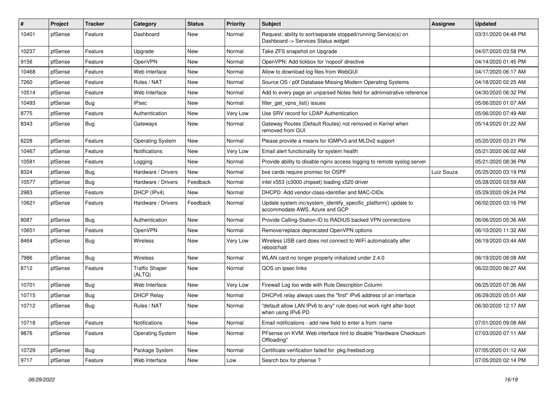| $\#$  | Project | <b>Tracker</b> | Category                        | <b>Status</b> | <b>Priority</b> | Subject                                                                                                | Assignee   | <b>Updated</b>      |
|-------|---------|----------------|---------------------------------|---------------|-----------------|--------------------------------------------------------------------------------------------------------|------------|---------------------|
| 10401 | pfSense | Feature        | Dashboard                       | New           | Normal          | Request: ability to sort/separate stopped/running Service(s) on<br>Dashboard -> Services Status widget |            | 03/31/2020 04:48 PM |
| 10237 | pfSense | Feature        | Upgrade                         | New           | Normal          | Take ZFS snapshot on Upgrade                                                                           |            | 04/07/2020 03:58 PM |
| 9156  | pfSense | Feature        | OpenVPN                         | <b>New</b>    | Normal          | OpenVPN: Add tickbox for 'nopool' directive                                                            |            | 04/14/2020 01:45 PM |
| 10468 | pfSense | Feature        | Web Interface                   | <b>New</b>    | Normal          | Allow to download log files from WebGUI                                                                |            | 04/17/2020 06:17 AM |
| 7260  | pfSense | Feature        | Rules / NAT                     | New           | Normal          | Source OS / p0f Database Missing Modern Operating Systems                                              |            | 04/18/2020 02:25 AM |
| 10514 | pfSense | Feature        | Web Interface                   | New           | Normal          | Add to every page an unparsed Notes field for administrative reference                                 |            | 04/30/2020 06:32 PM |
| 10493 | pfSense | Bug            | <b>IPsec</b>                    | New           | Normal          | filter_get_vpns_list() issues                                                                          |            | 05/06/2020 01:07 AM |
| 8775  | pfSense | Feature        | Authentication                  | <b>New</b>    | Very Low        | Use SRV record for LDAP Authentication                                                                 |            | 05/06/2020 07:49 AM |
| 8343  | pfSense | Bug            | Gateways                        | <b>New</b>    | Normal          | Gateway Routes (Default Routes) not removed in Kernel when<br>removed from GUI                         |            | 05/14/2020 01:22 AM |
| 6228  | pfSense | Feature        | <b>Operating System</b>         | New           | Normal          | Please provide a means for IGMPv3 and MLDv2 support                                                    |            | 05/20/2020 03:21 PM |
| 10467 | pfSense | Feature        | Notifications                   | <b>New</b>    | Very Low        | Email alert functionality for system health                                                            |            | 05/21/2020 06:02 AM |
| 10581 | pfSense | Feature        | Logging                         | New           | Normal          | Provide ability to disable nginx access logging to remote syslog server                                |            | 05/21/2020 08:36 PM |
| 8324  | pfSense | Bug            | Hardware / Drivers              | <b>New</b>    | Normal          | bxe cards require promisc for OSPF                                                                     | Luiz Souza | 05/25/2020 03:19 PM |
| 10577 | pfSense | Bug            | Hardware / Drivers              | Feedback      | Normal          | intel x553 (c3000 chipset) loading x520 driver                                                         |            | 05/28/2020 03:59 AM |
| 2983  | pfSense | Feature        | DHCP (IPv4)                     | New           | Normal          | DHCPD: Add vendor-class-identifier and MAC-OIDs                                                        |            | 05/29/2020 09:24 PM |
| 10621 | pfSense | Feature        | Hardware / Drivers              | Feedback      | Normal          | Update system.inc/system_identify_specific_platform() update to<br>accommodate AWS, Azure and GCP      |            | 06/02/2020 03:16 PM |
| 8087  | pfSense | Bug            | Authentication                  | <b>New</b>    | Normal          | Provide Calling-Station-ID to RADIUS backed VPN connections                                            |            | 06/06/2020 05:36 AM |
| 10651 | pfSense | Feature        | OpenVPN                         | <b>New</b>    | Normal          | Remove/replace deprecated OpenVPN options                                                              |            | 06/10/2020 11:32 AM |
| 8464  | pfSense | Bug            | Wireless                        | New           | Very Low        | Wireless USB card does not connect to WiFi automatically after<br>reboot/halt                          |            | 06/19/2020 03:44 AM |
| 7986  | pfSense | Bug            | Wireless                        | <b>New</b>    | Normal          | WLAN card no longer properly initialized under 2.4.0                                                   |            | 06/19/2020 08:08 AM |
| 8712  | pfSense | Feature        | <b>Traffic Shaper</b><br>(ALTQ) | New           | Normal          | QOS on ipsec links                                                                                     |            | 06/22/2020 06:27 AM |
| 10701 | pfSense | Bug            | Web Interface                   | New           | Very Low        | Firewall Log too wide with Rule Description Column                                                     |            | 06/25/2020 07:36 AM |
| 10715 | pfSense | Bug            | <b>DHCP Relay</b>               | New           | Normal          | DHCPv6 relay always uses the "first" IPv6 address of an interface                                      |            | 06/29/2020 05:01 AM |
| 10712 | pfSense | Bug            | Rules / NAT                     | New           | Normal          | "default allow LAN IPv6 to any" rule does not work right after boot<br>when using IPv6 PD              |            | 06/30/2020 12:17 AM |
| 10718 | pfSense | Feature        | Notifications                   | New           | Normal          | Email notifications - add new field to enter a from: name                                              |            | 07/01/2020 09:08 AM |
| 9876  | pfSense | Feature        | <b>Operating System</b>         | New           | Normal          | PFsense on KVM: Web interface hint to disable "Hardware Checksum<br>Offloading"                        |            | 07/03/2020 07:11 AM |
| 10729 | pfSense | <b>Bug</b>     | Package System                  | New           | Normal          | Certificate verification failed for pkg.freebsd.org                                                    |            | 07/05/2020 01:12 AM |
| 9717  | pfSense | Feature        | Web Interface                   | New           | Low             | Search box for pfsense ?                                                                               |            | 07/05/2020 02:14 PM |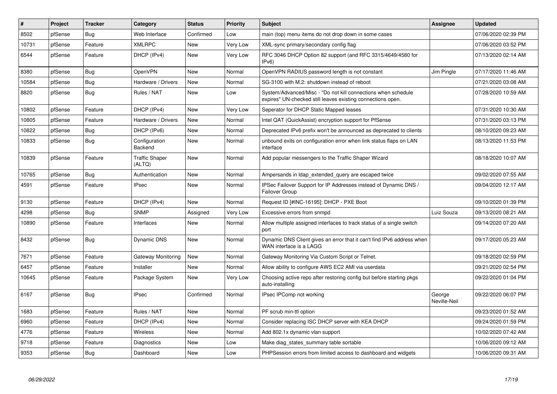| $\pmb{\#}$ | Project | Tracker    | Category                        | <b>Status</b> | <b>Priority</b> | <b>Subject</b>                                                                                                               | Assignee               | <b>Updated</b>      |
|------------|---------|------------|---------------------------------|---------------|-----------------|------------------------------------------------------------------------------------------------------------------------------|------------------------|---------------------|
| 8502       | pfSense | Bug        | Web Interface                   | Confirmed     | Low             | main (top) menu items do not drop down in some cases                                                                         |                        | 07/06/2020 02:39 PM |
| 10731      | pfSense | Feature    | <b>XMLRPC</b>                   | <b>New</b>    | Very Low        | XML-sync primary/secondary config flag                                                                                       |                        | 07/06/2020 03:52 PM |
| 6544       | pfSense | Feature    | DHCP (IPv4)                     | <b>New</b>    | Very Low        | RFC 3046 DHCP Option 82 support (and RFC 3315/4649/4580 for<br>IPv6                                                          |                        | 07/13/2020 02:14 AM |
| 8380       | pfSense | Bug        | <b>OpenVPN</b>                  | <b>New</b>    | Normal          | OpenVPN RADIUS password length is not constant                                                                               | Jim Pingle             | 07/17/2020 11:46 AM |
| 10584      | pfSense | <b>Bug</b> | Hardware / Drivers              | New           | Normal          | SG-3100 with M.2: shutdown instead of reboot                                                                                 |                        | 07/21/2020 03:08 AM |
| 8820       | pfSense | <b>Bug</b> | Rules / NAT                     | <b>New</b>    | Low             | System/Advanced/Misc - "Do not kill connections when schedule<br>expires" UN-checked still leaves existing connections open. |                        | 07/28/2020 10:59 AM |
| 10802      | pfSense | Feature    | DHCP (IPv4)                     | <b>New</b>    | Very Low        | Seperator for DHCP Static Mapped leases                                                                                      |                        | 07/31/2020 10:30 AM |
| 10805      | pfSense | Feature    | Hardware / Drivers              | New           | Normal          | Intel QAT (QuickAssist) encryption support for PfSense                                                                       |                        | 07/31/2020 03:13 PM |
| 10822      | pfSense | <b>Bug</b> | DHCP (IPv6)                     | New           | Normal          | Deprecated IPv6 prefix won't be announced as deprecated to clients                                                           |                        | 08/10/2020 09:23 AM |
| 10833      | pfSense | Bug        | Configuration<br>Backend        | New           | Normal          | unbound exits on configuration error when link status flaps on LAN<br>interface                                              |                        | 08/13/2020 11:53 PM |
| 10839      | pfSense | Feature    | <b>Traffic Shaper</b><br>(ALTQ) | New           | Normal          | Add popular messengers to the Traffic Shaper Wizard                                                                          |                        | 08/18/2020 10:07 AM |
| 10765      | pfSense | Bug        | Authentication                  | New           | Normal          | Ampersands in Idap_extended_query are escaped twice                                                                          |                        | 09/02/2020 07:55 AM |
| 4591       | pfSense | Feature    | <b>IPsec</b>                    | New           | Normal          | IPSec Failover Support for IP Addresses instead of Dynamic DNS /<br>Failover Group                                           |                        | 09/04/2020 12:17 AM |
| 9130       | pfSense | Feature    | DHCP (IPv4)                     | New           | Normal          | Request ID [#INC-16195]: DHCP - PXE Boot                                                                                     |                        | 09/10/2020 01:39 PM |
| 4298       | pfSense | Bug        | <b>SNMP</b>                     | Assigned      | Very Low        | Excessive errors from snmpd                                                                                                  | Luiz Souza             | 09/13/2020 08:21 AM |
| 10890      | pfSense | Feature    | Interfaces                      | New           | Normal          | Allow multiple assigned interfaces to track status of a single switch<br>port                                                |                        | 09/14/2020 07:20 AM |
| 8432       | pfSense | <b>Bug</b> | Dynamic DNS                     | <b>New</b>    | Normal          | Dynamic DNS Client gives an error that it can't find IPv6 address when<br>WAN interface is a LAGG                            |                        | 09/17/2020 05:23 AM |
| 7671       | pfSense | Feature    | Gateway Monitoring              | New           | Normal          | Gateway Monitoring Via Custom Script or Telnet.                                                                              |                        | 09/18/2020 02:59 PM |
| 6457       | pfSense | Feature    | Installer                       | New           | Normal          | Allow ability to configure AWS EC2 AMI via userdata                                                                          |                        | 09/21/2020 02:54 PM |
| 10645      | pfSense | Feature    | Package System                  | New           | Very Low        | Choosing active repo after restoring config but before starting pkgs<br>auto-installing                                      |                        | 09/22/2020 01:04 PM |
| 6167       | pfSense | Bug        | <b>IPsec</b>                    | Confirmed     | Normal          | IPsec IPComp not working                                                                                                     | George<br>Neville-Neil | 09/22/2020 06:07 PM |
| 1683       | pfSense | Feature    | Rules / NAT                     | New           | Normal          | PF scrub min-ttl option                                                                                                      |                        | 09/23/2020 01:52 AM |
| 6960       | pfSense | Feature    | DHCP (IPv4)                     | <b>New</b>    | Normal          | Consider replacing ISC DHCP server with KEA DHCP                                                                             |                        | 09/24/2020 01:59 PM |
| 4776       | pfSense | Feature    | Wireless                        | New           | Normal          | Add 802.1x dynamic vlan support                                                                                              |                        | 10/02/2020 07:42 AM |
| 9718       | pfSense | Feature    | Diagnostics                     | New           | Low             | Make diag states summary table sortable                                                                                      |                        | 10/06/2020 09:12 AM |
| 9353       | pfSense | <b>Bug</b> | Dashboard                       | New           | Low             | PHPSession errors from limited access to dashboard and widgets                                                               |                        | 10/06/2020 09:31 AM |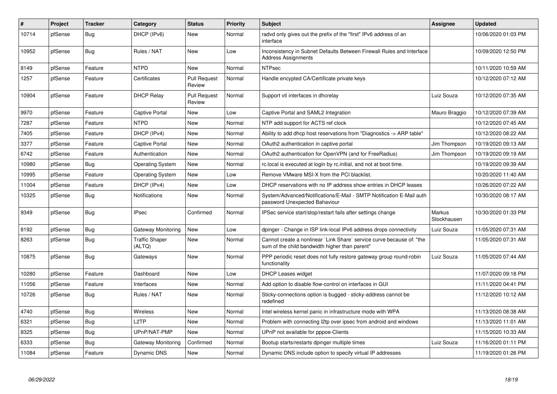| #     | <b>Project</b> | <b>Tracker</b> | Category                        | <b>Status</b>                 | <b>Priority</b> | <b>Subject</b>                                                                                                          | Assignee              | <b>Updated</b>      |
|-------|----------------|----------------|---------------------------------|-------------------------------|-----------------|-------------------------------------------------------------------------------------------------------------------------|-----------------------|---------------------|
| 10714 | pfSense        | Bug            | DHCP (IPv6)                     | <b>New</b>                    | Normal          | radyd only gives out the prefix of the "first" IPv6 address of an<br>interface                                          |                       | 10/06/2020 01:03 PM |
| 10952 | pfSense        | Bug            | Rules / NAT                     | New                           | Low             | Inconsistency in Subnet Defaults Between Firewall Rules and Interface<br><b>Address Assignments</b>                     |                       | 10/09/2020 12:50 PM |
| 8149  | pfSense        | Feature        | <b>NTPD</b>                     | <b>New</b>                    | Normal          | <b>NTPsec</b>                                                                                                           |                       | 10/11/2020 10:59 AM |
| 1257  | pfSense        | Feature        | Certificates                    | <b>Pull Request</b><br>Review | Normal          | Handle encypted CA/Certificate private keys                                                                             |                       | 10/12/2020 07:12 AM |
| 10904 | pfSense        | Feature        | <b>DHCP Relay</b>               | <b>Pull Request</b><br>Review | Normal          | Support vti interfaces in dhcrelay                                                                                      | Luiz Souza            | 10/12/2020 07:35 AM |
| 9970  | pfSense        | Feature        | <b>Captive Portal</b>           | New                           | Low             | Captive Portal and SAML2 Integration                                                                                    | Mauro Braggio         | 10/12/2020 07:39 AM |
| 7287  | pfSense        | Feature        | <b>NTPD</b>                     | New                           | Normal          | NTP add support for ACTS ref clock                                                                                      |                       | 10/12/2020 07:45 AM |
| 7405  | pfSense        | Feature        | DHCP (IPv4)                     | <b>New</b>                    | Normal          | Ability to add dhcp host reservations from "Diagnostics -> ARP table"                                                   |                       | 10/12/2020 08:22 AM |
| 3377  | pfSense        | Feature        | <b>Captive Portal</b>           | <b>New</b>                    | Normal          | OAuth2 authentication in captive portal                                                                                 | Jim Thompson          | 10/19/2020 09:13 AM |
| 6742  | pfSense        | Feature        | Authentication                  | <b>New</b>                    | Normal          | OAuth2 authentication for OpenVPN (and for FreeRadius)                                                                  | Jim Thompson          | 10/19/2020 09:19 AM |
| 10980 | pfSense        | <b>Bug</b>     | <b>Operating System</b>         | New                           | Normal          | rc.local is executed at login by rc.initial, and not at boot time.                                                      |                       | 10/19/2020 09:39 AM |
| 10995 | pfSense        | Feature        | <b>Operating System</b>         | <b>New</b>                    | Low             | Remove VMware MSI-X from the PCI blacklist.                                                                             |                       | 10/20/2020 11:40 AM |
| 11004 | pfSense        | Feature        | DHCP (IPv4)                     | New                           | Low             | DHCP reservations with no IP address show entries in DHCP leases                                                        |                       | 10/26/2020 07:22 AM |
| 10325 | pfSense        | <b>Bug</b>     | <b>Notifications</b>            | New                           | Normal          | System/Advanced/Notifications/E-Mail - SMTP Notification E-Mail auth<br>password Unexpected Bahaviour                   |                       | 10/30/2020 08:17 AM |
| 9349  | pfSense        | Bug            | <b>IPsec</b>                    | Confirmed                     | Normal          | IPSec service start/stop/restart fails after settings change                                                            | Markus<br>Stockhausen | 10/30/2020 01:33 PM |
| 8192  | pfSense        | Bug            | Gateway Monitoring              | New                           | Low             | dpinger - Change in ISP link-local IPv6 address drops connectivity                                                      | Luiz Souza            | 11/05/2020 07:31 AM |
| 8263  | pfSense        | <b>Bug</b>     | <b>Traffic Shaper</b><br>(ALTQ) | <b>New</b>                    | Normal          | Cannot create a nonlinear `Link Share` service curve because of: "the<br>sum of the child bandwidth higher than parent" |                       | 11/05/2020 07:31 AM |
| 10875 | pfSense        | Bug            | Gateways                        | <b>New</b>                    | Normal          | PPP periodic reset does not fully restore gateway group round-robin<br>functionality                                    | Luiz Souza            | 11/05/2020 07:44 AM |
| 10280 | pfSense        | Feature        | Dashboard                       | New                           | Low             | DHCP Leases widget                                                                                                      |                       | 11/07/2020 09:18 PM |
| 11056 | pfSense        | Feature        | Interfaces                      | New                           | Normal          | Add option to disable flow-control on interfaces in GUI                                                                 |                       | 11/11/2020 04:41 PM |
| 10726 | pfSense        | <b>Bug</b>     | Rules / NAT                     | New                           | Normal          | Sticky-connections option is bugged - sticky-address cannot be<br>redefined                                             |                       | 11/12/2020 10:12 AM |
| 4740  | pfSense        | Bug            | Wireless                        | New                           | Normal          | Intel wireless kernel panic in infrastructure mode with WPA                                                             |                       | 11/13/2020 08:38 AM |
| 6321  | pfSense        | <b>Bug</b>     | L <sub>2</sub> TP               | New                           | Normal          | Problem with connecting I2tp over ipsec from android and windows                                                        |                       | 11/13/2020 11:01 AM |
| 8325  | pfSense        | Bug            | UPnP/NAT-PMP                    | New                           | Normal          | UPnP not available for pppoe-Clients                                                                                    |                       | 11/15/2020 10:33 AM |
| 6333  | pfSense        | Bug            | Gateway Monitoring              | Confirmed                     | Normal          | Bootup starts/restarts dpinger multiple times                                                                           | Luiz Souza            | 11/16/2020 01:11 PM |
| 11084 | pfSense        | Feature        | <b>Dynamic DNS</b>              | <b>New</b>                    | Normal          | Dynamic DNS include option to specify virtual IP addresses                                                              |                       | 11/19/2020 01:26 PM |